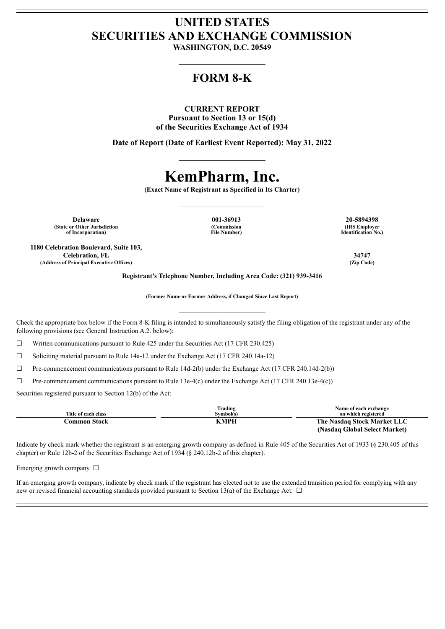## **UNITED STATES SECURITIES AND EXCHANGE COMMISSION**

**WASHINGTON, D.C. 20549**

## **FORM 8-K**

#### **CURRENT REPORT**

**Pursuant to Section 13 or 15(d) of the Securities Exchange Act of 1934**

**Date of Report (Date of Earliest Event Reported): May 31, 2022**

# **KemPharm, Inc.**

**(Exact Name of Registrant as Specified in Its Charter)**

**Delaware 001-36913 20-5894398 (State or Other Jurisdiction of Incorporation)**

**1180 Celebration Boulevard, Suite 103, Celebration, FL 34747 (Address of Principal Executive Offices) (Zip Code)**

**(Commission File Number)**

**(IRS Employer Identification No.)**

**Registrant's Telephone Number, Including Area Code: (321) 939-3416**

**(Former Name or Former Address, if Changed Since Last Report)**

Check the appropriate box below if the Form 8-K filing is intended to simultaneously satisfy the filing obligation of the registrant under any of the following provisions (see General Instruction A.2. below):

 $\Box$  Written communications pursuant to Rule 425 under the Securities Act (17 CFR 230.425)

 $\Box$  Soliciting material pursuant to Rule 14a-12 under the Exchange Act (17 CFR 240.14a-12)

 $\Box$  Pre-commencement communications pursuant to Rule 14d-2(b) under the Exchange Act (17 CFR 240.14d-2(b))

 $\Box$  Pre-commencement communications pursuant to Rule 13e-4(c) under the Exchange Act (17 CFR 240.13e-4(c))

Securities registered pursuant to Section 12(b) of the Act:

| Title of each class | Trading<br>Symbol(s) | Name of each exchange<br>on which registered |  |
|---------------------|----------------------|----------------------------------------------|--|
| Common Stock        | KMPH                 | The Nasdaq Stock Market LLC                  |  |
|                     |                      | (Nasdaq Global Select Market)                |  |

Indicate by check mark whether the registrant is an emerging growth company as defined in Rule 405 of the Securities Act of 1933 (§ 230.405 of this chapter) or Rule 12b-2 of the Securities Exchange Act of 1934 (§ 240.12b-2 of this chapter).

Emerging growth company  $\Box$ 

If an emerging growth company, indicate by check mark if the registrant has elected not to use the extended transition period for complying with any new or revised financial accounting standards provided pursuant to Section 13(a) of the Exchange Act.  $\Box$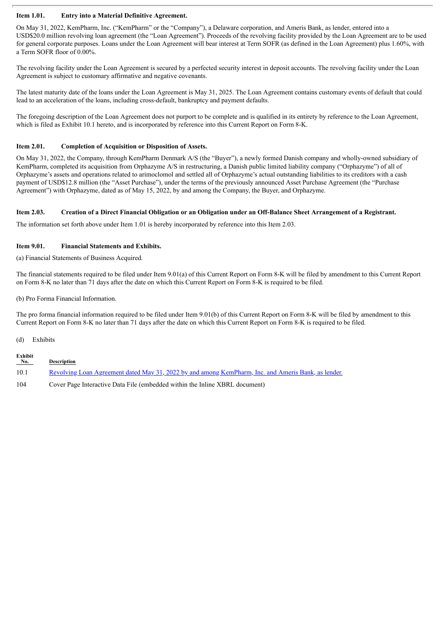#### **Item 1.01. Entry into a Material Definitive Agreement.**

On May 31, 2022, KemPharm, Inc. ("KemPharm" or the "Company"), a Delaware corporation, and Ameris Bank, as lender, entered into a USD\$20.0 million revolving loan agreement (the "Loan Agreement"). Proceeds of the revolving facility provided by the Loan Agreement are to be used for general corporate purposes. Loans under the Loan Agreement will bear interest at Term SOFR (as defined in the Loan Agreement) plus 1.60%, with a Term SOFR floor of 0.00%.

The revolving facility under the Loan Agreement is secured by a perfected security interest in deposit accounts. The revolving facility under the Loan Agreement is subject to customary affirmative and negative covenants.

The latest maturity date of the loans under the Loan Agreement is May 31, 2025. The Loan Agreement contains customary events of default that could lead to an acceleration of the loans, including cross-default, bankruptcy and payment defaults.

The foregoing description of the Loan Agreement does not purport to be complete and is qualified in its entirety by reference to the Loan Agreement, which is filed as Exhibit 10.1 hereto, and is incorporated by reference into this Current Report on Form 8-K.

#### **Item 2.01. Completion of Acquisition or Disposition of Assets.**

On May 31, 2022, the Company, through KemPharm Denmark A/S (the "Buyer"), a newly formed Danish company and wholly-owned subsidiary of KemPharm, completed its acquisition from Orphazyme A/S in restructuring, a Danish public limited liability company ("Orphazyme") of all of Orphazyme's assets and operations related to arimoclomol and settled all of Orphazyme's actual outstanding liabilities to its creditors with a cash payment of USD\$12.8 million (the "Asset Purchase"), under the terms of the previously announced Asset Purchase Agreement (the "Purchase Agreement") with Orphazyme, dated as of May 15, 2022, by and among the Company, the Buyer, and Orphazyme.

#### Item 2.03. Creation of a Direct Financial Obligation or an Obligation under an Off-Balance Sheet Arrangement of a Registrant.

The information set forth above under Item 1.01 is hereby incorporated by reference into this Item 2.03.

#### **Item 9.01. Financial Statements and Exhibits.**

(a) Financial Statements of Business Acquired.

The financial statements required to be filed under Item 9.01(a) of this Current Report on Form 8-K will be filed by amendment to this Current Report on Form 8-K no later than 71 days after the date on which this Current Report on Form 8-K is required to be filed.

(b) Pro Forma Financial Information.

The pro forma financial information required to be filed under Item 9.01(b) of this Current Report on Form 8-K will be filed by amendment to this Current Report on Form 8-K no later than 71 days after the date on which this Current Report on Form 8-K is required to be filed.

(d) Exhibits

| Exhibit<br>No. | <b>Description</b>                                                                                         |
|----------------|------------------------------------------------------------------------------------------------------------|
| 10.1           | <u>Revolving Loan Agreement dated May 31, 2022 by and among KemPharm, Inc. and Ameris Bank, as lender.</u> |
| 104            | Cover Page Interactive Data File (embedded within the Inline XBRL document)                                |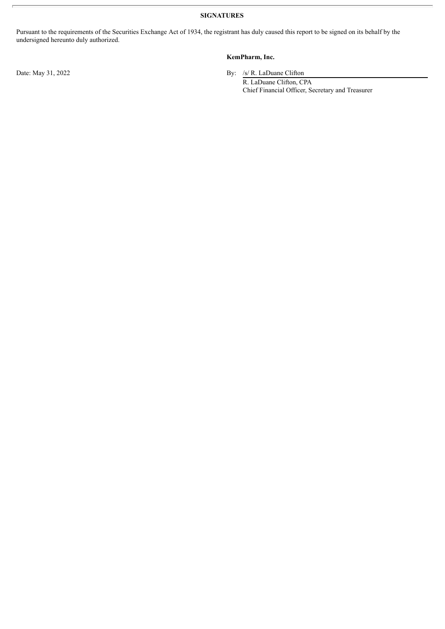**SIGNATURES**

Pursuant to the requirements of the Securities Exchange Act of 1934, the registrant has duly caused this report to be signed on its behalf by the undersigned hereunto duly authorized.

## **KemPharm, Inc.**

Date: May 31, 2022 By: /s/ R. LaDuane Clifton

R. LaDuane Clifton, CPA Chief Financial Officer, Secretary and Treasurer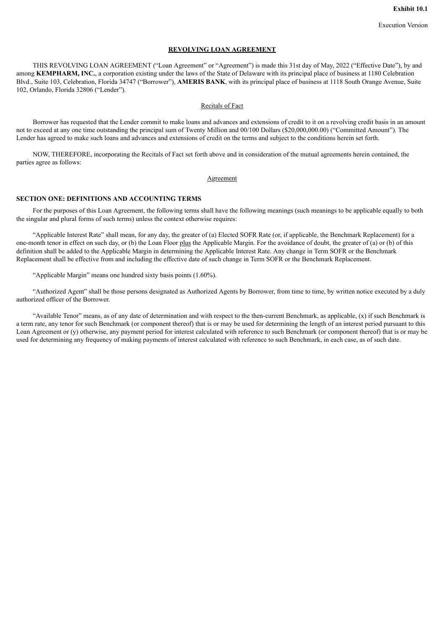#### **REVOLVING LOAN AGREEMENT**

<span id="page-3-0"></span>THIS REVOLVING LOAN AGREEMENT ("Loan Agreement" or "Agreement") is made this 31st day of May, 2022 ("Effective Date"), by and among **KEMPHARM, INC.**, a corporation existing under the laws of the State of Delaware with its principal place of business at 1180 Celebration Blvd., Suite 103, Celebration, Florida 34747 ("Borrower"), **AMERIS BANK**, with its principal place of business at 1118 South Orange Avenue, Suite 102, Orlando, Florida 32806 ("Lender").

#### Recitals of Fact

Borrower has requested that the Lender commit to make loans and advances and extensions of credit to it on a revolving credit basis in an amount not to exceed at any one time outstanding the principal sum of Twenty Million and 00/100 Dollars (\$20,000,000.00) ("Committed Amount"). The Lender has agreed to make such loans and advances and extensions of credit on the terms and subject to the conditions herein set forth.

NOW, THEREFORE, incorporating the Recitals of Fact set forth above and in consideration of the mutual agreements herein contained, the parties agree as follows:

#### Agreement

#### **SECTION ONE: DEFINITIONS AND ACCOUNTING TERMS**

For the purposes of this Loan Agreement, the following terms shall have the following meanings (such meanings to be applicable equally to both the singular and plural forms of such terms) unless the context otherwise requires:

"Applicable Interest Rate" shall mean, for any day, the greater of (a) Elected SOFR Rate (or, if applicable, the Benchmark Replacement) for a one-month tenor in effect on such day, or (b) the Loan Floor plus the Applicable Margin. For the avoidance of doubt, the greater of (a) or (b) of this definition shall be added to the Applicable Margin in determining the Applicable Interest Rate. Any change in Term SOFR or the Benchmark Replacement shall be effective from and including the effective date of such change in Term SOFR or the Benchmark Replacement.

"Applicable Margin" means one hundred sixty basis points (1.60%).

"Authorized Agent" shall be those persons designated as Authorized Agents by Borrower, from time to time, by written notice executed by a duly authorized officer of the Borrower.

"Available Tenor" means, as of any date of determination and with respect to the then-current Benchmark, as applicable, (x) if such Benchmark is a term rate, any tenor for such Benchmark (or component thereof) that is or may be used for determining the length of an interest period pursuant to this Loan Agreement or (y) otherwise, any payment period for interest calculated with reference to such Benchmark (or component thereof) that is or may be used for determining any frequency of making payments of interest calculated with reference to such Benchmark, in each case, as of such date.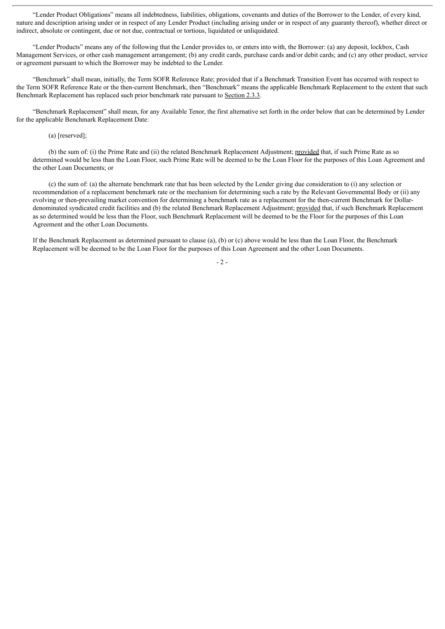"Lender Product Obligations" means all indebtedness, liabilities, obligations, covenants and duties of the Borrower to the Lender, of every kind, nature and description arising under or in respect of any Lender Product (including arising under or in respect of any guaranty thereof), whether direct or indirect, absolute or contingent, due or not due, contractual or tortious, liquidated or unliquidated.

"Lender Products" means any of the following that the Lender provides to, or enters into with, the Borrower: (a) any deposit, lockbox, Cash Management Services, or other cash management arrangement; (b) any credit cards, purchase cards and/or debit cards; and (c) any other product, service or agreement pursuant to which the Borrower may be indebted to the Lender.

"Benchmark" shall mean, initially, the Term SOFR Reference Rate; provided that if a Benchmark Transition Event has occurred with respect to the Term SOFR Reference Rate or the then-current Benchmark, then "Benchmark" means the applicable Benchmark Replacement to the extent that such Benchmark Replacement has replaced such prior benchmark rate pursuant to Section 2.3.3.

"Benchmark Replacement" shall mean, for any Available Tenor, the first alternative set forth in the order below that can be determined by Lender for the applicable Benchmark Replacement Date:

(a) [reserved];

(b) the sum of: (i) the Prime Rate and (ii) the related Benchmark Replacement Adjustment; provided that, if such Prime Rate as so determined would be less than the Loan Floor, such Prime Rate will be deemed to be the Loan Floor for the purposes of this Loan Agreement and the other Loan Documents; or

(c) the sum of: (a) the alternate benchmark rate that has been selected by the Lender giving due consideration to (i) any selection or recommendation of a replacement benchmark rate or the mechanism for determining such a rate by the Relevant Governmental Body or (ii) any evolving or then-prevailing market convention for determining a benchmark rate as a replacement for the then-current Benchmark for Dollardenominated syndicated credit facilities and (b) the related Benchmark Replacement Adjustment; provided that, if such Benchmark Replacement as so determined would be less than the Floor, such Benchmark Replacement will be deemed to be the Floor for the purposes of this Loan Agreement and the other Loan Documents.

If the Benchmark Replacement as determined pursuant to clause (a), (b) or (c) above would be less than the Loan Floor, the Benchmark Replacement will be deemed to be the Loan Floor for the purposes of this Loan Agreement and the other Loan Documents.

 $-2-$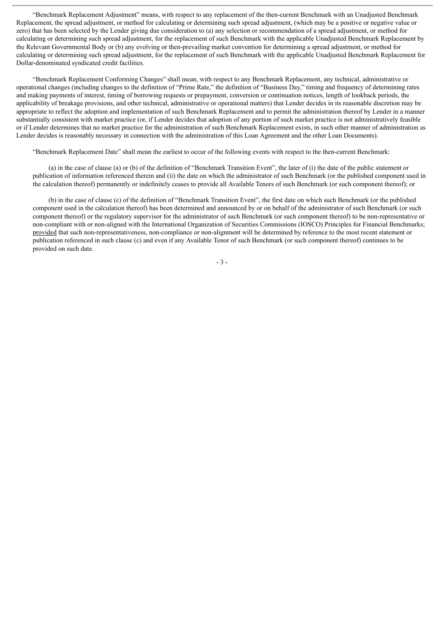"Benchmark Replacement Adjustment" means, with respect to any replacement of the then-current Benchmark with an Unadjusted Benchmark Replacement, the spread adjustment, or method for calculating or determining such spread adjustment, (which may be a positive or negative value or zero) that has been selected by the Lender giving due consideration to (a) any selection or recommendation of a spread adjustment, or method for calculating or determining such spread adjustment, for the replacement of such Benchmark with the applicable Unadjusted Benchmark Replacement by the Relevant Governmental Body or (b) any evolving or then-prevailing market convention for determining a spread adjustment, or method for calculating or determining such spread adjustment, for the replacement of such Benchmark with the applicable Unadjusted Benchmark Replacement for Dollar-denominated syndicated credit facilities.

"Benchmark Replacement Conforming Changes" shall mean, with respect to any Benchmark Replacement, any technical, administrative or operational changes (including changes to the definition of "Prime Rate," the definition of "Business Day," timing and frequency of determining rates and making payments of interest, timing of borrowing requests or prepayment, conversion or continuation notices, length of lookback periods, the applicability of breakage provisions, and other technical, administrative or operational matters) that Lender decides in its reasonable discretion may be appropriate to reflect the adoption and implementation of such Benchmark Replacement and to permit the administration thereof by Lender in a manner substantially consistent with market practice (or, if Lender decides that adoption of any portion of such market practice is not administratively feasible or if Lender determines that no market practice for the administration of such Benchmark Replacement exists, in such other manner of administration as Lender decides is reasonably necessary in connection with the administration of this Loan Agreement and the other Loan Documents).

"Benchmark Replacement Date" shall mean the earliest to occur of the following events with respect to the then-current Benchmark:

(a) in the case of clause (a) or (b) of the definition of "Benchmark Transition Event", the later of (i) the date of the public statement or publication of information referenced therein and (ii) the date on which the administrator of such Benchmark (or the published component used in the calculation thereof) permanently or indefinitely ceases to provide all Available Tenors of such Benchmark (or such component thereof); or

(b) in the case of clause (c) of the definition of "Benchmark Transition Event", the first date on which such Benchmark (or the published component used in the calculation thereof) has been determined and announced by or on behalf of the administrator of such Benchmark (or such component thereof) or the regulatory supervisor for the administrator of such Benchmark (or such component thereof) to be non-representative or non-compliant with or non-aligned with the International Organization of Securities Commissions (IOSCO) Principles for Financial Benchmarks; provided that such non-representativeness, non-compliance or non-alignment will be determined by reference to the most recent statement or publication referenced in such clause (c) and even if any Available Tenor of such Benchmark (or such component thereof) continues to be provided on such date.

- 3 -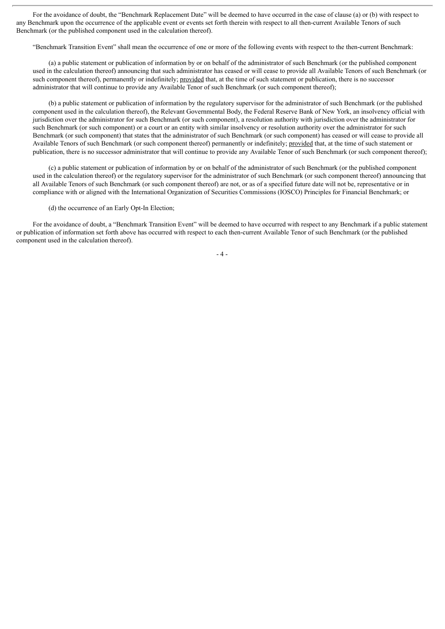For the avoidance of doubt, the "Benchmark Replacement Date" will be deemed to have occurred in the case of clause (a) or (b) with respect to any Benchmark upon the occurrence of the applicable event or events set forth therein with respect to all then-current Available Tenors of such Benchmark (or the published component used in the calculation thereof).

"Benchmark Transition Event" shall mean the occurrence of one or more of the following events with respect to the then-current Benchmark:

(a) a public statement or publication of information by or on behalf of the administrator of such Benchmark (or the published component used in the calculation thereof) announcing that such administrator has ceased or will cease to provide all Available Tenors of such Benchmark (or such component thereof), permanently or indefinitely; provided that, at the time of such statement or publication, there is no successor administrator that will continue to provide any Available Tenor of such Benchmark (or such component thereof);

(b) a public statement or publication of information by the regulatory supervisor for the administrator of such Benchmark (or the published component used in the calculation thereof), the Relevant Governmental Body, the Federal Reserve Bank of New York, an insolvency official with jurisdiction over the administrator for such Benchmark (or such component), a resolution authority with jurisdiction over the administrator for such Benchmark (or such component) or a court or an entity with similar insolvency or resolution authority over the administrator for such Benchmark (or such component) that states that the administrator of such Benchmark (or such component) has ceased or will cease to provide all Available Tenors of such Benchmark (or such component thereof) permanently or indefinitely; provided that, at the time of such statement or publication, there is no successor administrator that will continue to provide any Available Tenor of such Benchmark (or such component thereof);

(c) a public statement or publication of information by or on behalf of the administrator of such Benchmark (or the published component used in the calculation thereof) or the regulatory supervisor for the administrator of such Benchmark (or such component thereof) announcing that all Available Tenors of such Benchmark (or such component thereof) are not, or as of a specified future date will not be, representative or in compliance with or aligned with the International Organization of Securities Commissions (IOSCO) Principles for Financial Benchmark; or

(d) the occurrence of an Early Opt-In Election;

For the avoidance of doubt, a "Benchmark Transition Event" will be deemed to have occurred with respect to any Benchmark if a public statement or publication of information set forth above has occurred with respect to each then-current Available Tenor of such Benchmark (or the published component used in the calculation thereof).

- 4 -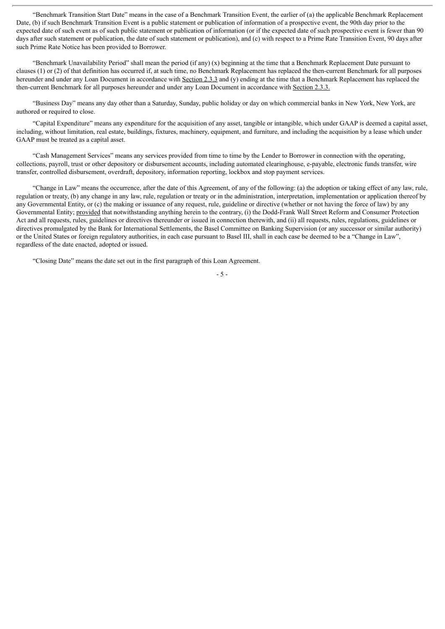"Benchmark Transition Start Date" means in the case of a Benchmark Transition Event, the earlier of (a) the applicable Benchmark Replacement Date, (b) if such Benchmark Transition Event is a public statement or publication of information of a prospective event, the 90th day prior to the expected date of such event as of such public statement or publication of information (or if the expected date of such prospective event is fewer than 90 days after such statement or publication, the date of such statement or publication), and (c) with respect to a Prime Rate Transition Event, 90 days after such Prime Rate Notice has been provided to Borrower.

"Benchmark Unavailability Period" shall mean the period (if any) (x) beginning at the time that a Benchmark Replacement Date pursuant to clauses (1) or (2) of that definition has occurred if, at such time, no Benchmark Replacement has replaced the then-current Benchmark for all purposes hereunder and under any Loan Document in accordance with Section 2.3.3 and (y) ending at the time that a Benchmark Replacement has replaced the then-current Benchmark for all purposes hereunder and under any Loan Document in accordance with Section 2.3.3.

"Business Day" means any day other than a Saturday, Sunday, public holiday or day on which commercial banks in New York, New York, are authored or required to close.

"Capital Expenditure" means any expenditure for the acquisition of any asset, tangible or intangible, which under GAAP is deemed a capital asset, including, without limitation, real estate, buildings, fixtures, machinery, equipment, and furniture, and including the acquisition by a lease which under GAAP must be treated as a capital asset.

"Cash Management Services" means any services provided from time to time by the Lender to Borrower in connection with the operating, collections, payroll, trust or other depository or disbursement accounts, including automated clearinghouse, e-payable, electronic funds transfer, wire transfer, controlled disbursement, overdraft, depository, information reporting, lockbox and stop payment services.

"Change in Law" means the occurrence, after the date of this Agreement, of any of the following: (a) the adoption or taking effect of any law, rule, regulation or treaty, (b) any change in any law, rule, regulation or treaty or in the administration, interpretation, implementation or application thereof by any Governmental Entity, or (c) the making or issuance of any request, rule, guideline or directive (whether or not having the force of law) by any Governmental Entity; provided that notwithstanding anything herein to the contrary, (i) the Dodd-Frank Wall Street Reform and Consumer Protection Act and all requests, rules, guidelines or directives thereunder or issued in connection therewith, and (ii) all requests, rules, regulations, guidelines or directives promulgated by the Bank for International Settlements, the Basel Committee on Banking Supervision (or any successor or similar authority) or the United States or foreign regulatory authorities, in each case pursuant to Basel III, shall in each case be deemed to be a "Change in Law", regardless of the date enacted, adopted or issued.

"Closing Date" means the date set out in the first paragraph of this Loan Agreement.

- 5 -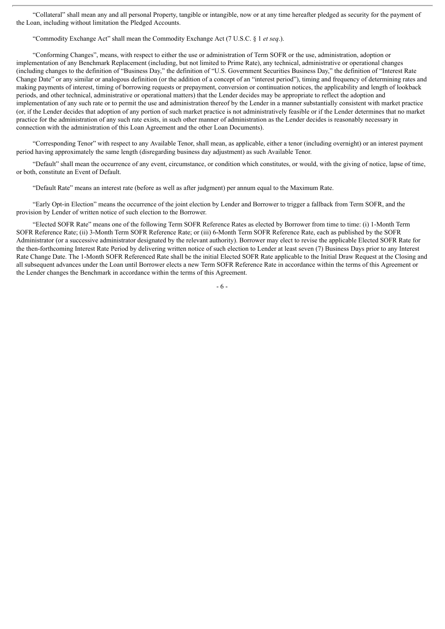"Collateral" shall mean any and all personal Property, tangible or intangible, now or at any time hereafter pledged as security for the payment of the Loan, including without limitation the Pledged Accounts.

"Commodity Exchange Act" shall mean the Commodity Exchange Act (7 U.S.C. § 1 *et seq*.).

"Conforming Changes", means, with respect to either the use or administration of Term SOFR or the use, administration, adoption or implementation of any Benchmark Replacement (including, but not limited to Prime Rate), any technical, administrative or operational changes (including changes to the definition of "Business Day," the definition of "U.S. Government Securities Business Day," the definition of "Interest Rate Change Date" or any similar or analogous definition (or the addition of a concept of an "interest period"), timing and frequency of determining rates and making payments of interest, timing of borrowing requests or prepayment, conversion or continuation notices, the applicability and length of lookback periods, and other technical, administrative or operational matters) that the Lender decides may be appropriate to reflect the adoption and implementation of any such rate or to permit the use and administration thereof by the Lender in a manner substantially consistent with market practice (or, if the Lender decides that adoption of any portion of such market practice is not administratively feasible or if the Lender determines that no market practice for the administration of any such rate exists, in such other manner of administration as the Lender decides is reasonably necessary in connection with the administration of this Loan Agreement and the other Loan Documents).

"Corresponding Tenor" with respect to any Available Tenor, shall mean, as applicable, either a tenor (including overnight) or an interest payment period having approximately the same length (disregarding business day adjustment) as such Available Tenor.

"Default" shall mean the occurrence of any event, circumstance, or condition which constitutes, or would, with the giving of notice, lapse of time, or both, constitute an Event of Default.

"Default Rate" means an interest rate (before as well as after judgment) per annum equal to the Maximum Rate.

"Early Opt-in Election" means the occurrence of the joint election by Lender and Borrower to trigger a fallback from Term SOFR, and the provision by Lender of written notice of such election to the Borrower.

"Elected SOFR Rate" means one of the following Term SOFR Reference Rates as elected by Borrower from time to time: (i) 1-Month Term SOFR Reference Rate; (ii) 3-Month Term SOFR Reference Rate; or (iii) 6-Month Term SOFR Reference Rate, each as published by the SOFR Administrator (or a successive administrator designated by the relevant authority). Borrower may elect to revise the applicable Elected SOFR Rate for the then-forthcoming Interest Rate Period by delivering written notice of such election to Lender at least seven (7) Business Days prior to any Interest Rate Change Date. The 1-Month SOFR Referenced Rate shall be the initial Elected SOFR Rate applicable to the Initial Draw Request at the Closing and all subsequent advances under the Loan until Borrower elects a new Term SOFR Reference Rate in accordance within the terms of this Agreement or the Lender changes the Benchmark in accordance within the terms of this Agreement.

- 6 -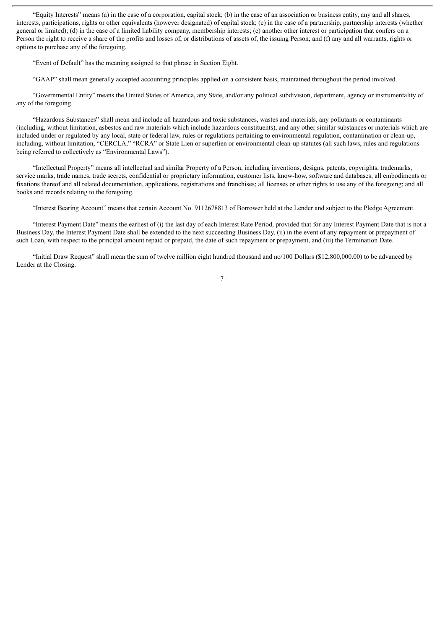"Equity Interests" means (a) in the case of a corporation, capital stock; (b) in the case of an association or business entity, any and all shares, interests, participations, rights or other equivalents (however designated) of capital stock; (c) in the case of a partnership, partnership interests (whether general or limited); (d) in the case of a limited liability company, membership interests; (e) another other interest or participation that confers on a Person the right to receive a share of the profits and losses of, or distributions of assets of, the issuing Person; and (f) any and all warrants, rights or options to purchase any of the foregoing.

"Event of Default" has the meaning assigned to that phrase in Section Eight.

"GAAP" shall mean generally accepted accounting principles applied on a consistent basis, maintained throughout the period involved.

"Governmental Entity" means the United States of America, any State, and/or any political subdivision, department, agency or instrumentality of any of the foregoing.

"Hazardous Substances" shall mean and include all hazardous and toxic substances, wastes and materials, any pollutants or contaminants (including, without limitation, asbestos and raw materials which include hazardous constituents), and any other similar substances or materials which are included under or regulated by any local, state or federal law, rules or regulations pertaining to environmental regulation, contamination or clean-up, including, without limitation, "CERCLA," "RCRA" or State Lien or superlien or environmental clean-up statutes (all such laws, rules and regulations being referred to collectively as "Environmental Laws").

"Intellectual Property" means all intellectual and similar Property of a Person, including inventions, designs, patents, copyrights, trademarks, service marks, trade names, trade secrets, confidential or proprietary information, customer lists, know-how, software and databases; all embodiments or fixations thereof and all related documentation, applications, registrations and franchises; all licenses or other rights to use any of the foregoing; and all books and records relating to the foregoing.

"Interest Bearing Account" means that certain Account No. 9112678813 of Borrower held at the Lender and subject to the Pledge Agreement.

"Interest Payment Date" means the earliest of (i) the last day of each Interest Rate Period, provided that for any Interest Payment Date that is not a Business Day, the Interest Payment Date shall be extended to the next succeeding Business Day, (ii) in the event of any repayment or prepayment of such Loan, with respect to the principal amount repaid or prepaid, the date of such repayment or prepayment, and (iii) the Termination Date.

"Initial Draw Request" shall mean the sum of twelve million eight hundred thousand and no/100 Dollars (\$12,800,000.00) to be advanced by Lender at the Closing.

- 7 -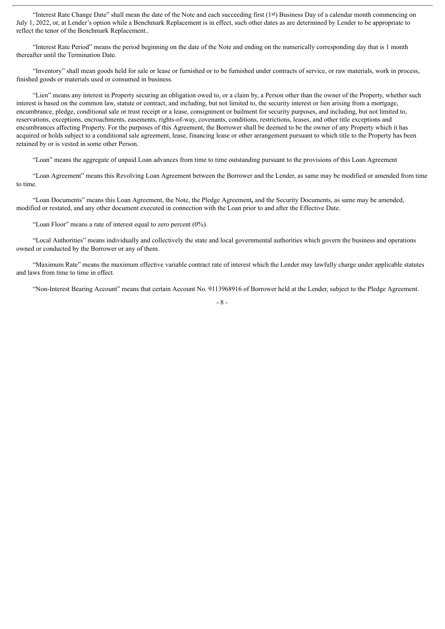"Interest Rate Change Date" shall mean the date of the Note and each succeeding first (1st) Business Day of a calendar month commencing on July 1, 2022, or, at Lender's option while a Benchmark Replacement is in effect, such other dates as are determined by Lender to be appropriate to reflect the tenor of the Benchmark Replacement..

"Interest Rate Period" means the period beginning on the date of the Note and ending on the numerically corresponding day that is 1 month thereafter until the Termination Date.

"Inventory" shall mean goods held for sale or lease or furnished or to be furnished under contracts of service, or raw materials, work in process, finished goods or materials used or consumed in business.

"Lien" means any interest in Property securing an obligation owed to, or a claim by, a Person other than the owner of the Property, whether such interest is based on the common law, statute or contract, and including, but not limited to, the security interest or lien arising from a mortgage, encumbrance, pledge, conditional sale or trust receipt or a lease, consignment or bailment for security purposes, and including, but not limited to, reservations, exceptions, encroachments, easements, rights-of-way, covenants, conditions, restrictions, leases, and other title exceptions and encumbrances affecting Property. For the purposes of this Agreement, the Borrower shall be deemed to be the owner of any Property which it has acquired or holds subject to a conditional sale agreement, lease, financing lease or other arrangement pursuant to which title to the Property has been retained by or is vested in some other Person.

"Loan" means the aggregate of unpaid Loan advances from time to time outstanding pursuant to the provisions of this Loan Agreement

"Loan Agreement" means this Revolving Loan Agreement between the Borrower and the Lender, as same may be modified or amended from time to time.

"Loan Documents" means this Loan Agreement, the Note, the Pledge Agreement**,** and the Security Documents, as same may be amended, modified or restated, and any other document executed in connection with the Loan prior to and after the Effective Date.

"Loan Floor" means a rate of interest equal to zero percent (0%).

"Local Authorities" means individually and collectively the state and local governmental authorities which govern the business and operations owned or conducted by the Borrower or any of them.

"Maximum Rate" means the maximum effective variable contract rate of interest which the Lender may lawfully charge under applicable statutes and laws from time to time in effect.

"Non-Interest Bearing Account" means that certain Account No. 9113968916 of Borrower held at the Lender, subject to the Pledge Agreement.

- 8 -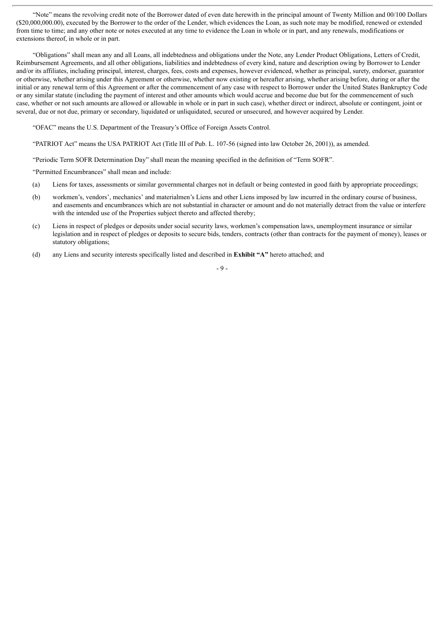"Note" means the revolving credit note of the Borrower dated of even date herewith in the principal amount of Twenty Million and 00/100 Dollars (\$20,000,000.00), executed by the Borrower to the order of the Lender, which evidences the Loan, as such note may be modified, renewed or extended from time to time; and any other note or notes executed at any time to evidence the Loan in whole or in part, and any renewals, modifications or extensions thereof, in whole or in part.

"Obligations" shall mean any and all Loans, all indebtedness and obligations under the Note, any Lender Product Obligations, Letters of Credit, Reimbursement Agreements, and all other obligations, liabilities and indebtedness of every kind, nature and description owing by Borrower to Lender and/or its affiliates, including principal, interest, charges, fees, costs and expenses, however evidenced, whether as principal, surety, endorser, guarantor or otherwise, whether arising under this Agreement or otherwise, whether now existing or hereafter arising, whether arising before, during or after the initial or any renewal term of this Agreement or after the commencement of any case with respect to Borrower under the United States Bankruptcy Code or any similar statute (including the payment of interest and other amounts which would accrue and become due but for the commencement of such case, whether or not such amounts are allowed or allowable in whole or in part in such case), whether direct or indirect, absolute or contingent, joint or several, due or not due, primary or secondary, liquidated or unliquidated, secured or unsecured, and however acquired by Lender.

"OFAC" means the U.S. Department of the Treasury's Office of Foreign Assets Control.

"PATRIOT Act" means the USA PATRIOT Act (Title III of Pub. L. 107-56 (signed into law October 26, 2001)), as amended.

"Periodic Term SOFR Determination Day" shall mean the meaning specified in the definition of "Term SOFR".

"Permitted Encumbrances" shall mean and include:

- (a) Liens for taxes, assessments or similar governmental charges not in default or being contested in good faith by appropriate proceedings;
- (b) workmen's, vendors', mechanics' and materialmen's Liens and other Liens imposed by law incurred in the ordinary course of business, and easements and encumbrances which are not substantial in character or amount and do not materially detract from the value or interfere with the intended use of the Properties subject thereto and affected thereby;
- (c) Liens in respect of pledges or deposits under social security laws, workmen's compensation laws, unemployment insurance or similar legislation and in respect of pledges or deposits to secure bids, tenders, contracts (other than contracts for the payment of money), leases or statutory obligations;
- (d) any Liens and security interests specifically listed and described in **Exhibit "A"** hereto attached; and

- 9 -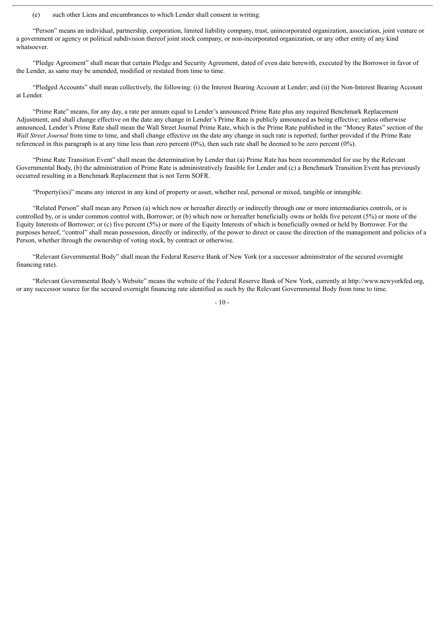(e) such other Liens and encumbrances to which Lender shall consent in writing.

"Person" means an individual, partnership, corporation, limited liability company, trust, unincorporated organization, association, joint venture or a government or agency or political subdivision thereof joint stock company, or non-incorporated organization, or any other entity of any kind whatsoever.

"Pledge Agreement" shall mean that certain Pledge and Security Agreement, dated of even date herewith, executed by the Borrower in favor of the Lender, as same may be amended, modified or restated from time to time.

"Pledged Accounts" shall mean collectively, the following: (i) the Interest Bearing Account at Lender; and (ii) the Non-Interest Bearing Account at Lender.

"Prime Rate" means, for any day, a rate per annum equal to Lender's announced Prime Rate plus any required Benchmark Replacement Adjustment, and shall change effective on the date any change in Lender's Prime Rate is publicly announced as being effective; unless otherwise announced, Lender's Prime Rate shall mean the Wall Street Journal Prime Rate, which is the Prime Rate published in the "Money Rates" section of the *Wall Street Journal* from time to time, and shall change effective on the date any change in such rate is reported; further provided if the Prime Rate referenced in this paragraph is at any time less than zero percent (0%), then such rate shall be deemed to be zero percent (0%).

"Prime Rate Transition Event" shall mean the determination by Lender that (a) Prime Rate has been recommended for use by the Relevant Governmental Body, (b) the administration of Prime Rate is administratively feasible for Lender and (c) a Benchmark Transition Event has previously occurred resulting in a Benchmark Replacement that is not Term SOFR.

"Property(ies)" means any interest in any kind of property or asset, whether real, personal or mixed, tangible or intangible.

"Related Person" shall mean any Person (a) which now or hereafter directly or indirectly through one or more intermediaries controls, or is controlled by, or is under common control with, Borrower; or (b) which now or hereafter beneficially owns or holds five percent (5%) or more of the Equity Interests of Borrower; or (c) five percent (5%) or more of the Equity Interests of which is beneficially owned or held by Borrower. For the purposes hereof, "control" shall mean possession, directly or indirectly, of the power to direct or cause the direction of the management and policies of a Person, whether through the ownership of voting stock, by contract or otherwise.

"Relevant Governmental Body" shall mean the Federal Reserve Bank of New York (or a successor administrator of the secured overnight financing rate).

"Relevant Governmental Body's Website" means the website of the Federal Reserve Bank of New York, currently at http://www.newyorkfed.org, or any successor source for the secured overnight financing rate identified as such by the Relevant Governmental Body from time to time.

 $-10-$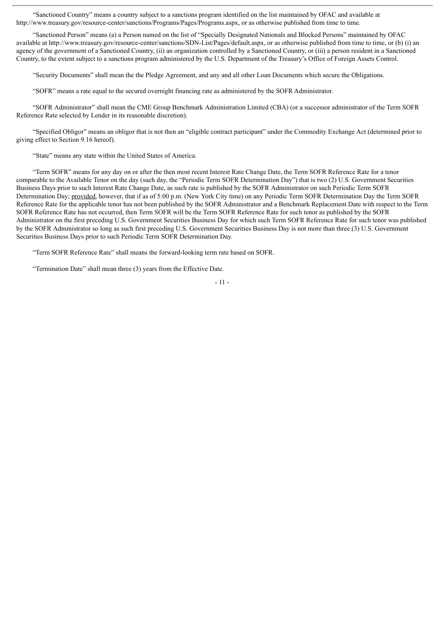"Sanctioned Country" means a country subject to a sanctions program identified on the list maintained by OFAC and available at http://www.treasury.gov/resource-center/sanctions/Programs/Pages/Programs.aspx, or as otherwise published from time to time.

"Sanctioned Person" means (a) a Person named on the list of "Specially Designated Nationals and Blocked Persons" maintained by OFAC available at http://www.treasury.gov/resource-center/sanctions/SDN-List/Pages/default.aspx, or as otherwise published from time to time, or (b) (i) an agency of the government of a Sanctioned Country, (ii) an organization controlled by a Sanctioned Country, or (iii) a person resident in a Sanctioned Country, to the extent subject to a sanctions program administered by the U.S. Department of the Treasury's Office of Foreign Assets Control.

"Security Documents" shall mean the the Pledge Agreement, and any and all other Loan Documents which secure the Obligations.

"SOFR" means a rate equal to the secured overnight financing rate as administered by the SOFR Administrator.

"SOFR Administrator" shall mean the CME Group Benchmark Administration Limited (CBA) (or a successor administrator of the Term SOFR Reference Rate selected by Lender in its reasonable discretion).

"Specified Obligor" means an obligor that is not then an "eligible contract participant" under the Commodity Exchange Act (determined prior to giving effect to Section 9.16 hereof).

"State" means any state within the United States of America.

"Term SOFR" means for any day on or after the then most recent Interest Rate Change Date, the Term SOFR Reference Rate for a tenor comparable to the Available Tenor on the day (such day, the "Periodic Term SOFR Determination Day") that is two (2) U.S. Government Securities Business Days prior to such Interest Rate Change Date, as such rate is published by the SOFR Administrator on such Periodic Term SOFR Determination Day; provided, however, that if as of 5:00 p.m. (New York City time) on any Periodic Term SOFR Determination Day the Term SOFR Reference Rate for the applicable tenor has not been published by the SOFR Administrator and a Benchmark Replacement Date with respect to the Term SOFR Reference Rate has not occurred, then Term SOFR will be the Term SOFR Reference Rate for such tenor as published by the SOFR Administrator on the first preceding U.S. Government Securities Business Day for which such Term SOFR Reference Rate for such tenor was published by the SOFR Administrator so long as such first preceding U.S. Government Securities Business Day is not more than three (3) U.S. Government Securities Business Days prior to such Periodic Term SOFR Determination Day.

"Term SOFR Reference Rate" shall means the forward-looking term rate based on SOFR.

"Termination Date" shall mean three (3) years from the Effective Date.

- 11 -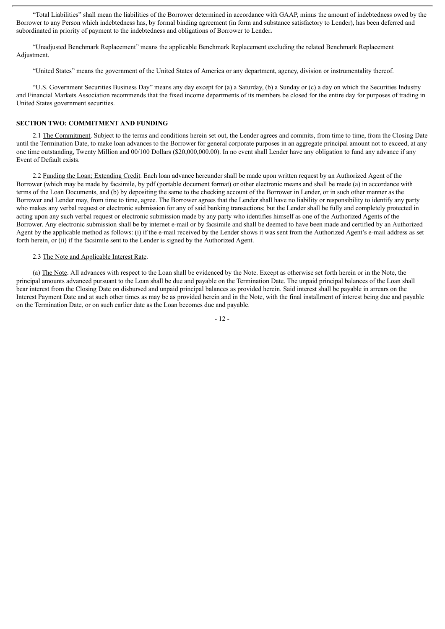"Total Liabilities" shall mean the liabilities of the Borrower determined in accordance with GAAP, minus the amount of indebtedness owed by the Borrower to any Person which indebtedness has, by formal binding agreement (in form and substance satisfactory to Lender), has been deferred and subordinated in priority of payment to the indebtedness and obligations of Borrower to Lender**.**

"Unadjusted Benchmark Replacement" means the applicable Benchmark Replacement excluding the related Benchmark Replacement Adjustment.

"United States" means the government of the United States of America or any department, agency, division or instrumentality thereof.

"U.S. Government Securities Business Day" means any day except for (a) a Saturday, (b) a Sunday or (c) a day on which the Securities Industry and Financial Markets Association recommends that the fixed income departments of its members be closed for the entire day for purposes of trading in United States government securities.

#### **SECTION TWO: COMMITMENT AND FUNDING**

2.1 The Commitment. Subject to the terms and conditions herein set out, the Lender agrees and commits, from time to time, from the Closing Date until the Termination Date, to make loan advances to the Borrower for general corporate purposes in an aggregate principal amount not to exceed, at any one time outstanding, Twenty Million and 00/100 Dollars (\$20,000,000.00). In no event shall Lender have any obligation to fund any advance if any Event of Default exists.

2.2 Funding the Loan; Extending Credit. Each loan advance hereunder shall be made upon written request by an Authorized Agent of the Borrower (which may be made by facsimile, by pdf (portable document format) or other electronic means and shall be made (a) in accordance with terms of the Loan Documents, and (b) by depositing the same to the checking account of the Borrower in Lender, or in such other manner as the Borrower and Lender may, from time to time, agree. The Borrower agrees that the Lender shall have no liability or responsibility to identify any party who makes any verbal request or electronic submission for any of said banking transactions; but the Lender shall be fully and completely protected in acting upon any such verbal request or electronic submission made by any party who identifies himself as one of the Authorized Agents of the Borrower. Any electronic submission shall be by internet e-mail or by facsimile and shall be deemed to have been made and certified by an Authorized Agent by the applicable method as follows: (i) if the e-mail received by the Lender shows it was sent from the Authorized Agent's e-mail address as set forth herein, or (ii) if the facsimile sent to the Lender is signed by the Authorized Agent.

#### 2.3 The Note and Applicable Interest Rate.

(a) The Note. All advances with respect to the Loan shall be evidenced by the Note. Except as otherwise set forth herein or in the Note, the principal amounts advanced pursuant to the Loan shall be due and payable on the Termination Date. The unpaid principal balances of the Loan shall bear interest from the Closing Date on disbursed and unpaid principal balances as provided herein. Said interest shall be payable in arrears on the Interest Payment Date and at such other times as may be as provided herein and in the Note, with the final installment of interest being due and payable on the Termination Date, or on such earlier date as the Loan becomes due and payable.

- 12 -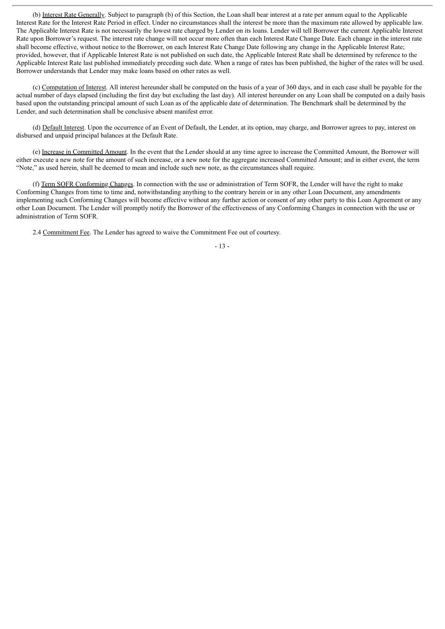(b) Interest Rate Generally. Subject to paragraph (b) of this Section, the Loan shall bear interest at a rate per annum equal to the Applicable Interest Rate for the Interest Rate Period in effect. Under no circumstances shall the interest be more than the maximum rate allowed by applicable law. The Applicable Interest Rate is not necessarily the lowest rate charged by Lender on its loans. Lender will tell Borrower the current Applicable Interest Rate upon Borrower's request. The interest rate change will not occur more often than each Interest Rate Change Date. Each change in the interest rate shall become effective, without notice to the Borrower, on each Interest Rate Change Date following any change in the Applicable Interest Rate; provided, however, that if Applicable Interest Rate is not published on such date, the Applicable Interest Rate shall be determined by reference to the Applicable Interest Rate last published immediately preceding such date. When a range of rates has been published, the higher of the rates will be used. Borrower understands that Lender may make loans based on other rates as well.

(c) Computation of Interest. All interest hereunder shall be computed on the basis of a year of 360 days, and in each case shall be payable for the actual number of days elapsed (including the first day but excluding the last day). All interest hereunder on any Loan shall be computed on a daily basis based upon the outstanding principal amount of such Loan as of the applicable date of determination. The Benchmark shall be determined by the Lender, and such determination shall be conclusive absent manifest error.

(d) Default Interest. Upon the occurrence of an Event of Default, the Lender, at its option, may charge, and Borrower agrees to pay, interest on disbursed and unpaid principal balances at the Default Rate.

(e) Increase in Committed Amount. In the event that the Lender should at any time agree to increase the Committed Amount, the Borrower will either execute a new note for the amount of such increase, or a new note for the aggregate increased Committed Amount; and in either event, the term "Note," as used herein, shall be deemed to mean and include such new note, as the circumstances shall require.

(f) Term SOFR Conforming Changes. In connection with the use or administration of Term SOFR, the Lender will have the right to make Conforming Changes from time to time and, notwithstanding anything to the contrary herein or in any other Loan Document, any amendments implementing such Conforming Changes will become effective without any further action or consent of any other party to this Loan Agreement or any other Loan Document. The Lender will promptly notify the Borrower of the effectiveness of any Conforming Changes in connection with the use or administration of Term SOFR.

2.4 Commitment Fee. The Lender has agreed to waive the Commitment Fee out of courtesy.

#### - 13 -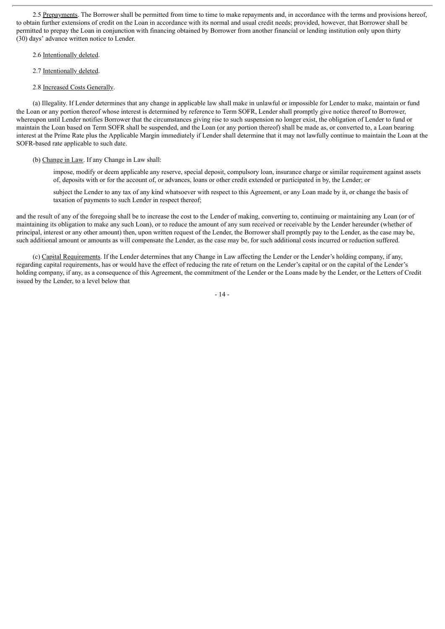2.5 Prepayments. The Borrower shall be permitted from time to time to make repayments and, in accordance with the terms and provisions hereof, to obtain further extensions of credit on the Loan in accordance with its normal and usual credit needs; provided, however, that Borrower shall be permitted to prepay the Loan in conjunction with financing obtained by Borrower from another financial or lending institution only upon thirty (30) days' advance written notice to Lender.

#### 2.6 Intentionally deleted.

2.7 Intentionally deleted.

#### 2.8 Increased Costs Generally.

(a) Illegality. If Lender determines that any change in applicable law shall make in unlawful or impossible for Lender to make, maintain or fund the Loan or any portion thereof whose interest is determined by reference to Term SOFR, Lender shall promptly give notice thereof to Borrower, whereupon until Lender notifies Borrower that the circumstances giving rise to such suspension no longer exist, the obligation of Lender to fund or maintain the Loan based on Term SOFR shall be suspended, and the Loan (or any portion thereof) shall be made as, or converted to, a Loan bearing interest at the Prime Rate plus the Applicable Margin immediately if Lender shall determine that it may not lawfully continue to maintain the Loan at the SOFR-based rate applicable to such date.

#### (b) Change in Law. If any Change in Law shall:

impose, modify or deem applicable any reserve, special deposit, compulsory loan, insurance charge or similar requirement against assets of, deposits with or for the account of, or advances, loans or other credit extended or participated in by, the Lender; or

subject the Lender to any tax of any kind whatsoever with respect to this Agreement, or any Loan made by it, or change the basis of taxation of payments to such Lender in respect thereof;

and the result of any of the foregoing shall be to increase the cost to the Lender of making, converting to, continuing or maintaining any Loan (or of maintaining its obligation to make any such Loan), or to reduce the amount of any sum received or receivable by the Lender hereunder (whether of principal, interest or any other amount) then, upon written request of the Lender, the Borrower shall promptly pay to the Lender, as the case may be, such additional amount or amounts as will compensate the Lender, as the case may be, for such additional costs incurred or reduction suffered.

(c) Capital Requirements. If the Lender determines that any Change in Law affecting the Lender or the Lender's holding company, if any, regarding capital requirements, has or would have the effect of reducing the rate of return on the Lender's capital or on the capital of the Lender's holding company, if any, as a consequence of this Agreement, the commitment of the Lender or the Loans made by the Lender, or the Letters of Credit issued by the Lender, to a level below that

 $-14-$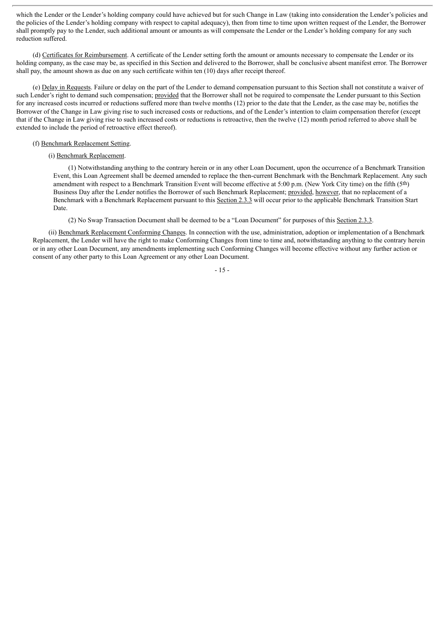which the Lender or the Lender's holding company could have achieved but for such Change in Law (taking into consideration the Lender's policies and the policies of the Lender's holding company with respect to capital adequacy), then from time to time upon written request of the Lender, the Borrower shall promptly pay to the Lender, such additional amount or amounts as will compensate the Lender or the Lender's holding company for any such reduction suffered.

(d) Certificates for Reimbursement. A certificate of the Lender setting forth the amount or amounts necessary to compensate the Lender or its holding company, as the case may be, as specified in this Section and delivered to the Borrower, shall be conclusive absent manifest error. The Borrower shall pay, the amount shown as due on any such certificate within ten (10) days after receipt thereof.

(e) Delay in Requests. Failure or delay on the part of the Lender to demand compensation pursuant to this Section shall not constitute a waiver of such Lender's right to demand such compensation; provided that the Borrower shall not be required to compensate the Lender pursuant to this Section for any increased costs incurred or reductions suffered more than twelve months (12) prior to the date that the Lender, as the case may be, notifies the Borrower of the Change in Law giving rise to such increased costs or reductions, and of the Lender's intention to claim compensation therefor (except that if the Change in Law giving rise to such increased costs or reductions is retroactive, then the twelve (12) month period referred to above shall be extended to include the period of retroactive effect thereof).

#### (f) Benchmark Replacement Setting.

#### (i) Benchmark Replacement.

(1) Notwithstanding anything to the contrary herein or in any other Loan Document, upon the occurrence of a Benchmark Transition Event, this Loan Agreement shall be deemed amended to replace the then-current Benchmark with the Benchmark Replacement. Any such amendment with respect to a Benchmark Transition Event will become effective at 5:00 p.m. (New York City time) on the fifth (5th) Business Day after the Lender notifies the Borrower of such Benchmark Replacement; provided, however, that no replacement of a Benchmark with a Benchmark Replacement pursuant to this Section 2.3.3 will occur prior to the applicable Benchmark Transition Start Date.

(2) No Swap Transaction Document shall be deemed to be a "Loan Document" for purposes of this Section 2.3.3.

(ii) Benchmark Replacement Conforming Changes. In connection with the use, administration, adoption or implementation of a Benchmark Replacement, the Lender will have the right to make Conforming Changes from time to time and, notwithstanding anything to the contrary herein or in any other Loan Document, any amendments implementing such Conforming Changes will become effective without any further action or consent of any other party to this Loan Agreement or any other Loan Document.

- 15 -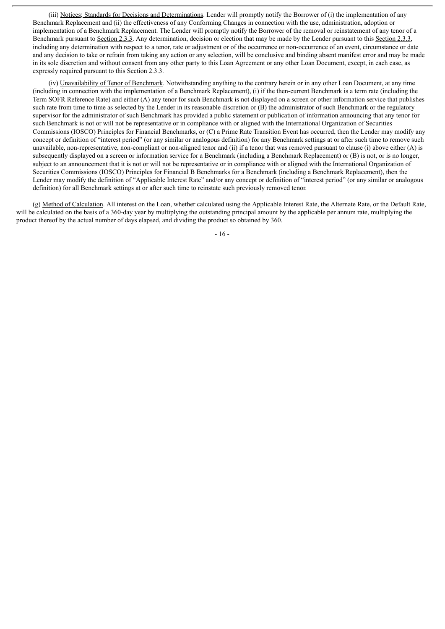(iii) Notices; Standards for Decisions and Determinations. Lender will promptly notify the Borrower of (i) the implementation of any Benchmark Replacement and (ii) the effectiveness of any Conforming Changes in connection with the use, administration, adoption or implementation of a Benchmark Replacement. The Lender will promptly notify the Borrower of the removal or reinstatement of any tenor of a Benchmark pursuant to Section 2.3.3. Any determination, decision or election that may be made by the Lender pursuant to this Section 2.3.3, including any determination with respect to a tenor, rate or adjustment or of the occurrence or non-occurrence of an event, circumstance or date and any decision to take or refrain from taking any action or any selection, will be conclusive and binding absent manifest error and may be made in its sole discretion and without consent from any other party to this Loan Agreement or any other Loan Document, except, in each case, as expressly required pursuant to this Section 2.3.3.

(iv) Unavailability of Tenor of Benchmark. Notwithstanding anything to the contrary herein or in any other Loan Document, at any time (including in connection with the implementation of a Benchmark Replacement), (i) if the then-current Benchmark is a term rate (including the Term SOFR Reference Rate) and either (A) any tenor for such Benchmark is not displayed on a screen or other information service that publishes such rate from time to time as selected by the Lender in its reasonable discretion or (B) the administrator of such Benchmark or the regulatory supervisor for the administrator of such Benchmark has provided a public statement or publication of information announcing that any tenor for such Benchmark is not or will not be representative or in compliance with or aligned with the International Organization of Securities Commissions (IOSCO) Principles for Financial Benchmarks, or (C) a Prime Rate Transition Event has occurred, then the Lender may modify any concept or definition of "interest period" (or any similar or analogous definition) for any Benchmark settings at or after such time to remove such unavailable, non-representative, non-compliant or non-aligned tenor and (ii) if a tenor that was removed pursuant to clause (i) above either (A) is subsequently displayed on a screen or information service for a Benchmark (including a Benchmark Replacement) or (B) is not, or is no longer, subject to an announcement that it is not or will not be representative or in compliance with or aligned with the International Organization of Securities Commissions (IOSCO) Principles for Financial B Benchmarks for a Benchmark (including a Benchmark Replacement), then the Lender may modify the definition of "Applicable Interest Rate" and/or any concept or definition of "interest period" (or any similar or analogous definition) for all Benchmark settings at or after such time to reinstate such previously removed tenor.

(g) Method of Calculation. All interest on the Loan, whether calculated using the Applicable Interest Rate, the Alternate Rate, or the Default Rate, will be calculated on the basis of a 360-day year by multiplying the outstanding principal amount by the applicable per annum rate, multiplying the product thereof by the actual number of days elapsed, and dividing the product so obtained by 360.

 $-16-$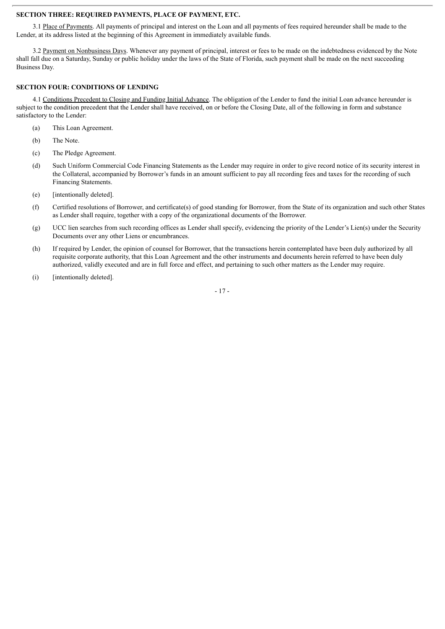#### **SECTION THREE: REQUIRED PAYMENTS, PLACE OF PAYMENT, ETC.**

3.1 Place of Payments. All payments of principal and interest on the Loan and all payments of fees required hereunder shall be made to the Lender, at its address listed at the beginning of this Agreement in immediately available funds.

3.2 Payment on Nonbusiness Days. Whenever any payment of principal, interest or fees to be made on the indebtedness evidenced by the Note shall fall due on a Saturday, Sunday or public holiday under the laws of the State of Florida, such payment shall be made on the next succeeding Business Day.

#### **SECTION FOUR: CONDITIONS OF LENDING**

4.1 Conditions Precedent to Closing and Funding Initial Advance. The obligation of the Lender to fund the initial Loan advance hereunder is subject to the condition precedent that the Lender shall have received, on or before the Closing Date, all of the following in form and substance satisfactory to the Lender:

- (a) This Loan Agreement.
- (b) The Note.
- (c) The Pledge Agreement.
- (d) Such Uniform Commercial Code Financing Statements as the Lender may require in order to give record notice of its security interest in the Collateral, accompanied by Borrower's funds in an amount sufficient to pay all recording fees and taxes for the recording of such Financing Statements.
- (e) [intentionally deleted].
- (f) Certified resolutions of Borrower, and certificate(s) of good standing for Borrower, from the State of its organization and such other States as Lender shall require, together with a copy of the organizational documents of the Borrower.
- (g) UCC lien searches from such recording offices as Lender shall specify, evidencing the priority of the Lender's Lien(s) under the Security Documents over any other Liens or encumbrances.
- (h) If required by Lender, the opinion of counsel for Borrower, that the transactions herein contemplated have been duly authorized by all requisite corporate authority, that this Loan Agreement and the other instruments and documents herein referred to have been duly authorized, validly executed and are in full force and effect, and pertaining to such other matters as the Lender may require.
- (i) [intentionally deleted].

- 17 -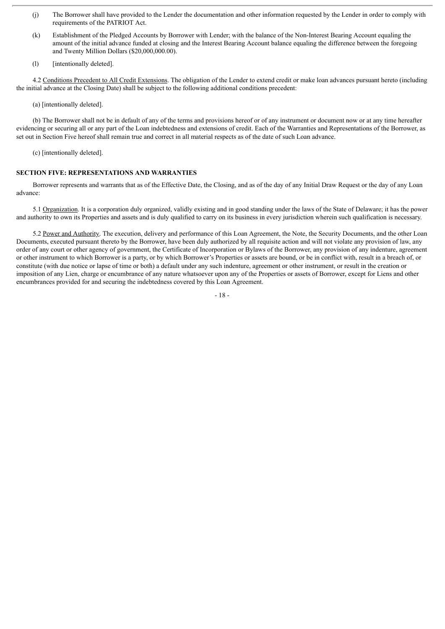- (j) The Borrower shall have provided to the Lender the documentation and other information requested by the Lender in order to comply with requirements of the PATRIOT Act.
- (k) Establishment of the Pledged Accounts by Borrower with Lender; with the balance of the Non-Interest Bearing Account equaling the amount of the initial advance funded at closing and the Interest Bearing Account balance equaling the difference between the foregoing and Twenty Million Dollars (\$20,000,000.00).
- (1) [intentionally deleted].

4.2 Conditions Precedent to All Credit Extensions. The obligation of the Lender to extend credit or make loan advances pursuant hereto (including the initial advance at the Closing Date) shall be subject to the following additional conditions precedent:

(a) [intentionally deleted].

(b) The Borrower shall not be in default of any of the terms and provisions hereof or of any instrument or document now or at any time hereafter evidencing or securing all or any part of the Loan indebtedness and extensions of credit. Each of the Warranties and Representations of the Borrower, as set out in Section Five hereof shall remain true and correct in all material respects as of the date of such Loan advance.

(c) [intentionally deleted].

### **SECTION FIVE: REPRESENTATIONS AND WARRANTIES**

Borrower represents and warrants that as of the Effective Date, the Closing, and as of the day of any Initial Draw Request or the day of any Loan advance:

5.1 Organization. It is a corporation duly organized, validly existing and in good standing under the laws of the State of Delaware; it has the power and authority to own its Properties and assets and is duly qualified to carry on its business in every jurisdiction wherein such qualification is necessary.

5.2 Power and Authority. The execution, delivery and performance of this Loan Agreement, the Note, the Security Documents, and the other Loan Documents, executed pursuant thereto by the Borrower, have been duly authorized by all requisite action and will not violate any provision of law, any order of any court or other agency of government, the Certificate of Incorporation or Bylaws of the Borrower, any provision of any indenture, agreement or other instrument to which Borrower is a party, or by which Borrower's Properties or assets are bound, or be in conflict with, result in a breach of, or constitute (with due notice or lapse of time or both) a default under any such indenture, agreement or other instrument, or result in the creation or imposition of any Lien, charge or encumbrance of any nature whatsoever upon any of the Properties or assets of Borrower, except for Liens and other encumbrances provided for and securing the indebtedness covered by this Loan Agreement.

- 18 -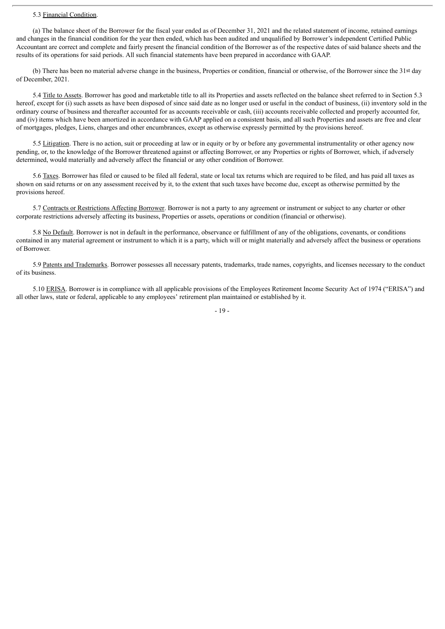#### 5.3 Financial Condition.

(a) The balance sheet of the Borrower for the fiscal year ended as of December 31, 2021 and the related statement of income, retained earnings and changes in the financial condition for the year then ended, which has been audited and unqualified by Borrower's independent Certified Public Accountant are correct and complete and fairly present the financial condition of the Borrower as of the respective dates of said balance sheets and the results of its operations for said periods. All such financial statements have been prepared in accordance with GAAP.

(b) There has been no material adverse change in the business, Properties or condition, financial or otherwise, of the Borrower since the 31st day of December, 2021.

5.4 Title to Assets. Borrower has good and marketable title to all its Properties and assets reflected on the balance sheet referred to in Section 5.3 hereof, except for (i) such assets as have been disposed of since said date as no longer used or useful in the conduct of business, (ii) inventory sold in the ordinary course of business and thereafter accounted for as accounts receivable or cash, (iii) accounts receivable collected and properly accounted for, and (iv) items which have been amortized in accordance with GAAP applied on a consistent basis, and all such Properties and assets are free and clear of mortgages, pledges, Liens, charges and other encumbrances, except as otherwise expressly permitted by the provisions hereof.

5.5 Litigation. There is no action, suit or proceeding at law or in equity or by or before any governmental instrumentality or other agency now pending, or, to the knowledge of the Borrower threatened against or affecting Borrower, or any Properties or rights of Borrower, which, if adversely determined, would materially and adversely affect the financial or any other condition of Borrower.

5.6 Taxes. Borrower has filed or caused to be filed all federal, state or local tax returns which are required to be filed, and has paid all taxes as shown on said returns or on any assessment received by it, to the extent that such taxes have become due, except as otherwise permitted by the provisions hereof.

5.7 Contracts or Restrictions Affecting Borrower. Borrower is not a party to any agreement or instrument or subject to any charter or other corporate restrictions adversely affecting its business, Properties or assets, operations or condition (financial or otherwise).

5.8 No Default. Borrower is not in default in the performance, observance or fulfillment of any of the obligations, covenants, or conditions contained in any material agreement or instrument to which it is a party, which will or might materially and adversely affect the business or operations of Borrower.

5.9 Patents and Trademarks. Borrower possesses all necessary patents, trademarks, trade names, copyrights, and licenses necessary to the conduct of its business.

5.10 ERISA. Borrower is in compliance with all applicable provisions of the Employees Retirement Income Security Act of 1974 ("ERISA") and all other laws, state or federal, applicable to any employees' retirement plan maintained or established by it.

- 19 -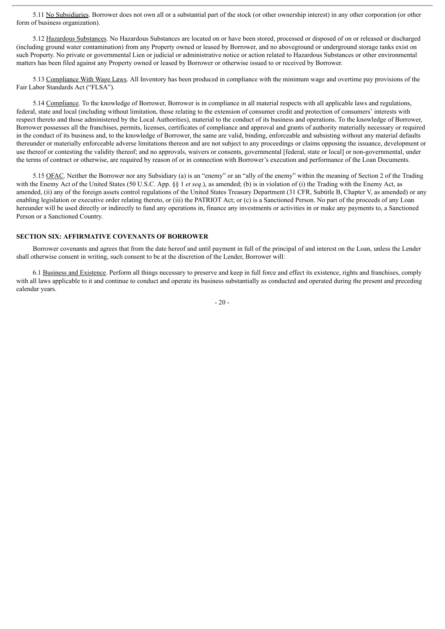5.11 No Subsidiaries. Borrower does not own all or a substantial part of the stock (or other ownership interest) in any other corporation (or other form of business organization).

5.12 Hazardous Substances. No Hazardous Substances are located on or have been stored, processed or disposed of on or released or discharged (including ground water contamination) from any Property owned or leased by Borrower, and no aboveground or underground storage tanks exist on such Property. No private or governmental Lien or judicial or administrative notice or action related to Hazardous Substances or other environmental matters has been filed against any Property owned or leased by Borrower or otherwise issued to or received by Borrower.

5.13 Compliance With Wage Laws. All Inventory has been produced in compliance with the minimum wage and overtime pay provisions of the Fair Labor Standards Act ("FLSA").

5.14 Compliance. To the knowledge of Borrower, Borrower is in compliance in all material respects with all applicable laws and regulations, federal, state and local (including without limitation, those relating to the extension of consumer credit and protection of consumers' interests with respect thereto and those administered by the Local Authorities), material to the conduct of its business and operations. To the knowledge of Borrower, Borrower possesses all the franchises, permits, licenses, certificates of compliance and approval and grants of authority materially necessary or required in the conduct of its business and, to the knowledge of Borrower, the same are valid, binding, enforceable and subsisting without any material defaults thereunder or materially enforceable adverse limitations thereon and are not subject to any proceedings or claims opposing the issuance, development or use thereof or contesting the validity thereof; and no approvals, waivers or consents, governmental [federal, state or local] or non-governmental, under the terms of contract or otherwise, are required by reason of or in connection with Borrower's execution and performance of the Loan Documents.

5.15 OFAC. Neither the Borrower nor any Subsidiary (a) is an "enemy" or an "ally of the enemy" within the meaning of Section 2 of the Trading with the Enemy Act of the United States (50 U.S.C. App. §§ 1 *et seq*.), as amended; (b) is in violation of (i) the Trading with the Enemy Act, as amended, (ii) any of the foreign assets control regulations of the United States Treasury Department (31 CFR, Subtitle B, Chapter V, as amended) or any enabling legislation or executive order relating thereto, or (iii) the PATRIOT Act; or (c) is a Sanctioned Person. No part of the proceeds of any Loan hereunder will be used directly or indirectly to fund any operations in, finance any investments or activities in or make any payments to, a Sanctioned Person or a Sanctioned Country.

#### **SECTION SIX: AFFIRMATIVE COVENANTS OF BORROWER**

Borrower covenants and agrees that from the date hereof and until payment in full of the principal of and interest on the Loan, unless the Lender shall otherwise consent in writing, such consent to be at the discretion of the Lender, Borrower will:

6.1 Business and Existence. Perform all things necessary to preserve and keep in full force and effect its existence, rights and franchises, comply with all laws applicable to it and continue to conduct and operate its business substantially as conducted and operated during the present and preceding calendar years.

 $-20-$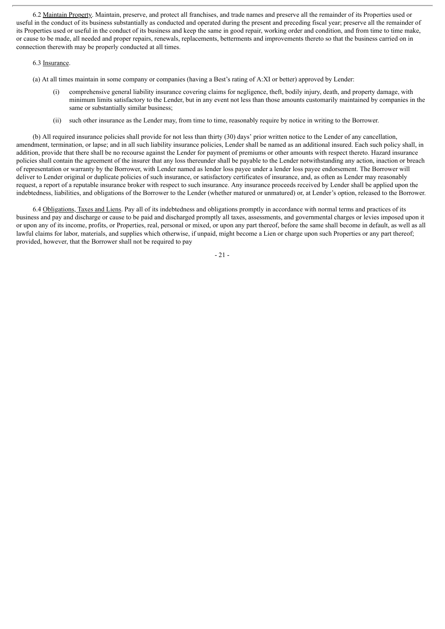6.2 Maintain Property. Maintain, preserve, and protect all franchises, and trade names and preserve all the remainder of its Properties used or useful in the conduct of its business substantially as conducted and operated during the present and preceding fiscal year; preserve all the remainder of its Properties used or useful in the conduct of its business and keep the same in good repair, working order and condition, and from time to time make, or cause to be made, all needed and proper repairs, renewals, replacements, betterments and improvements thereto so that the business carried on in connection therewith may be properly conducted at all times.

#### 6.3 Insurance.

(a) At all times maintain in some company or companies (having a Best's rating of A:XI or better) approved by Lender:

- comprehensive general liability insurance covering claims for negligence, theft, bodily injury, death, and property damage, with minimum limits satisfactory to the Lender, but in any event not less than those amounts customarily maintained by companies in the same or substantially similar business;
- (ii) such other insurance as the Lender may, from time to time, reasonably require by notice in writing to the Borrower.

(b) All required insurance policies shall provide for not less than thirty (30) days' prior written notice to the Lender of any cancellation, amendment, termination, or lapse; and in all such liability insurance policies, Lender shall be named as an additional insured. Each such policy shall, in addition, provide that there shall be no recourse against the Lender for payment of premiums or other amounts with respect thereto. Hazard insurance policies shall contain the agreement of the insurer that any loss thereunder shall be payable to the Lender notwithstanding any action, inaction or breach of representation or warranty by the Borrower, with Lender named as lender loss payee under a lender loss payee endorsement. The Borrower will deliver to Lender original or duplicate policies of such insurance, or satisfactory certificates of insurance, and, as often as Lender may reasonably request, a report of a reputable insurance broker with respect to such insurance. Any insurance proceeds received by Lender shall be applied upon the indebtedness, liabilities, and obligations of the Borrower to the Lender (whether matured or unmatured) or, at Lender's option, released to the Borrower.

6.4 Obligations, Taxes and Liens. Pay all of its indebtedness and obligations promptly in accordance with normal terms and practices of its business and pay and discharge or cause to be paid and discharged promptly all taxes, assessments, and governmental charges or levies imposed upon it or upon any of its income, profits, or Properties, real, personal or mixed, or upon any part thereof, before the same shall become in default, as well as all lawful claims for labor, materials, and supplies which otherwise, if unpaid, might become a Lien or charge upon such Properties or any part thereof; provided, however, that the Borrower shall not be required to pay

- 21 -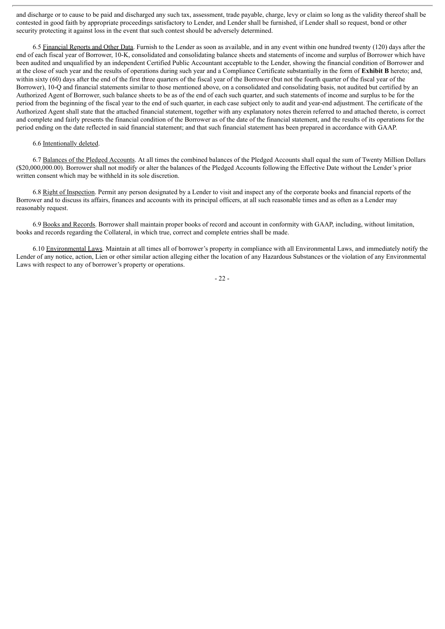and discharge or to cause to be paid and discharged any such tax, assessment, trade payable, charge, levy or claim so long as the validity thereof shall be contested in good faith by appropriate proceedings satisfactory to Lender, and Lender shall be furnished, if Lender shall so request, bond or other security protecting it against loss in the event that such contest should be adversely determined.

6.5 Financial Reports and Other Data. Furnish to the Lender as soon as available, and in any event within one hundred twenty (120) days after the end of each fiscal year of Borrower, 10-K, consolidated and consolidating balance sheets and statements of income and surplus of Borrower which have been audited and unqualified by an independent Certified Public Accountant acceptable to the Lender, showing the financial condition of Borrower and at the close of such year and the results of operations during such year and a Compliance Certificate substantially in the form of **Exhibit B** hereto; and, within sixty (60) days after the end of the first three quarters of the fiscal year of the Borrower (but not the fourth quarter of the fiscal year of the Borrower), 10-Q and financial statements similar to those mentioned above, on a consolidated and consolidating basis, not audited but certified by an Authorized Agent of Borrower, such balance sheets to be as of the end of each such quarter, and such statements of income and surplus to be for the period from the beginning of the fiscal year to the end of such quarter, in each case subject only to audit and year-end adjustment. The certificate of the Authorized Agent shall state that the attached financial statement, together with any explanatory notes therein referred to and attached thereto, is correct and complete and fairly presents the financial condition of the Borrower as of the date of the financial statement, and the results of its operations for the period ending on the date reflected in said financial statement; and that such financial statement has been prepared in accordance with GAAP.

#### 6.6 Intentionally deleted.

6.7 Balances of the Pledged Accounts. At all times the combined balances of the Pledged Accounts shall equal the sum of Twenty Million Dollars (\$20,000,000.00). Borrower shall not modify or alter the balances of the Pledged Accounts following the Effective Date without the Lender's prior written consent which may be withheld in its sole discretion.

6.8 Right of Inspection. Permit any person designated by a Lender to visit and inspect any of the corporate books and financial reports of the Borrower and to discuss its affairs, finances and accounts with its principal officers, at all such reasonable times and as often as a Lender may reasonably request.

6.9 Books and Records. Borrower shall maintain proper books of record and account in conformity with GAAP, including, without limitation, books and records regarding the Collateral, in which true, correct and complete entries shall be made.

6.10 Environmental Laws. Maintain at all times all of borrower's property in compliance with all Environmental Laws, and immediately notify the Lender of any notice, action, Lien or other similar action alleging either the location of any Hazardous Substances or the violation of any Environmental Laws with respect to any of borrower's property or operations.

- 22 -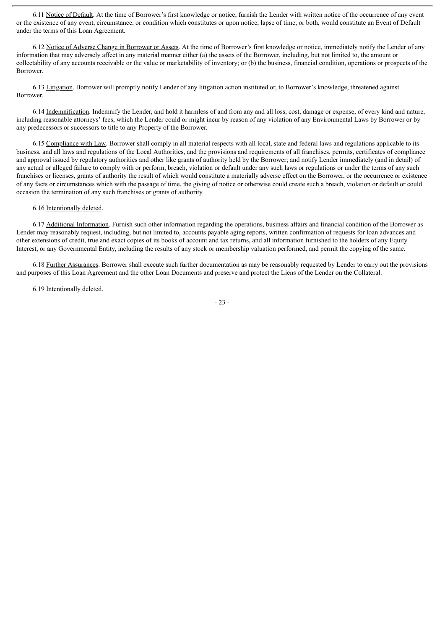6.11 Notice of Default. At the time of Borrower's first knowledge or notice, furnish the Lender with written notice of the occurrence of any event or the existence of any event, circumstance, or condition which constitutes or upon notice, lapse of time, or both, would constitute an Event of Default under the terms of this Loan Agreement.

6.12 Notice of Adverse Change in Borrower or Assets. At the time of Borrower's first knowledge or notice, immediately notify the Lender of any information that may adversely affect in any material manner either (a) the assets of the Borrower, including, but not limited to, the amount or collectability of any accounts receivable or the value or marketability of inventory; or (b) the business, financial condition, operations or prospects of the Borrower.

6.13 Litigation. Borrower will promptly notify Lender of any litigation action instituted or, to Borrower's knowledge, threatened against Borrower.

6.14 Indemnification. Indemnify the Lender, and hold it harmless of and from any and all loss, cost, damage or expense, of every kind and nature, including reasonable attorneys' fees, which the Lender could or might incur by reason of any violation of any Environmental Laws by Borrower or by any predecessors or successors to title to any Property of the Borrower.

6.15 Compliance with Law. Borrower shall comply in all material respects with all local, state and federal laws and regulations applicable to its business, and all laws and regulations of the Local Authorities, and the provisions and requirements of all franchises, permits, certificates of compliance and approval issued by regulatory authorities and other like grants of authority held by the Borrower; and notify Lender immediately (and in detail) of any actual or alleged failure to comply with or perform, breach, violation or default under any such laws or regulations or under the terms of any such franchises or licenses, grants of authority the result of which would constitute a materially adverse effect on the Borrower, or the occurrence or existence of any facts or circumstances which with the passage of time, the giving of notice or otherwise could create such a breach, violation or default or could occasion the termination of any such franchises or grants of authority.

## 6.16 Intentionally deleted.

6.17 Additional Information. Furnish such other information regarding the operations, business affairs and financial condition of the Borrower as Lender may reasonably request, including, but not limited to, accounts payable aging reports, written confirmation of requests for loan advances and other extensions of credit, true and exact copies of its books of account and tax returns, and all information furnished to the holders of any Equity Interest, or any Governmental Entity, including the results of any stock or membership valuation performed, and permit the copying of the same.

6.18 Further Assurances. Borrower shall execute such further documentation as may be reasonably requested by Lender to carry out the provisions and purposes of this Loan Agreement and the other Loan Documents and preserve and protect the Liens of the Lender on the Collateral.

6.19 Intentionally deleted.

- 23 -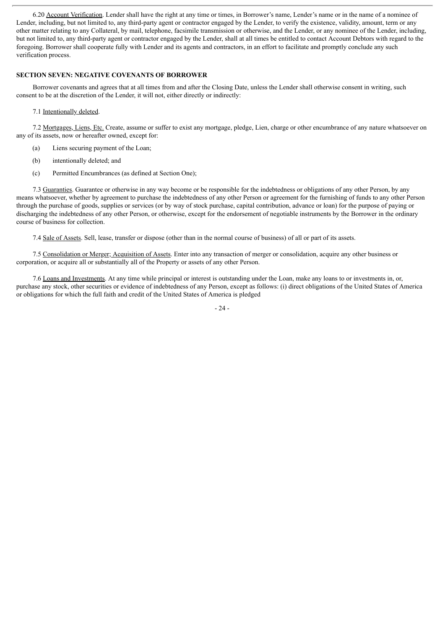6.20 Account Verification. Lender shall have the right at any time or times, in Borrower's name, Lender's name or in the name of a nominee of Lender, including, but not limited to, any third-party agent or contractor engaged by the Lender, to verify the existence, validity, amount, term or any other matter relating to any Collateral, by mail, telephone, facsimile transmission or otherwise, and the Lender, or any nominee of the Lender, including, but not limited to, any third-party agent or contractor engaged by the Lender, shall at all times be entitled to contact Account Debtors with regard to the foregoing. Borrower shall cooperate fully with Lender and its agents and contractors, in an effort to facilitate and promptly conclude any such verification process.

#### **SECTION SEVEN: NEGATIVE COVENANTS OF BORROWER**

Borrower covenants and agrees that at all times from and after the Closing Date, unless the Lender shall otherwise consent in writing, such consent to be at the discretion of the Lender, it will not, either directly or indirectly:

#### 7.1 Intentionally deleted.

7.2 Mortgages, Liens, Etc. Create, assume or suffer to exist any mortgage, pledge, Lien, charge or other encumbrance of any nature whatsoever on any of its assets, now or hereafter owned, except for:

- (a) Liens securing payment of the Loan;
- (b) intentionally deleted; and
- (c) Permitted Encumbrances (as defined at Section One);

7.3 Guaranties. Guarantee or otherwise in any way become or be responsible for the indebtedness or obligations of any other Person, by any means whatsoever, whether by agreement to purchase the indebtedness of any other Person or agreement for the furnishing of funds to any other Person through the purchase of goods, supplies or services (or by way of stock purchase, capital contribution, advance or loan) for the purpose of paying or discharging the indebtedness of any other Person, or otherwise, except for the endorsement of negotiable instruments by the Borrower in the ordinary course of business for collection.

7.4 Sale of Assets. Sell, lease, transfer or dispose (other than in the normal course of business) of all or part of its assets.

7.5 Consolidation or Merger; Acquisition of Assets. Enter into any transaction of merger or consolidation, acquire any other business or corporation, or acquire all or substantially all of the Property or assets of any other Person.

7.6 Loans and Investments. At any time while principal or interest is outstanding under the Loan, make any loans to or investments in, or, purchase any stock, other securities or evidence of indebtedness of any Person, except as follows: (i) direct obligations of the United States of America or obligations for which the full faith and credit of the United States of America is pledged

- 24 -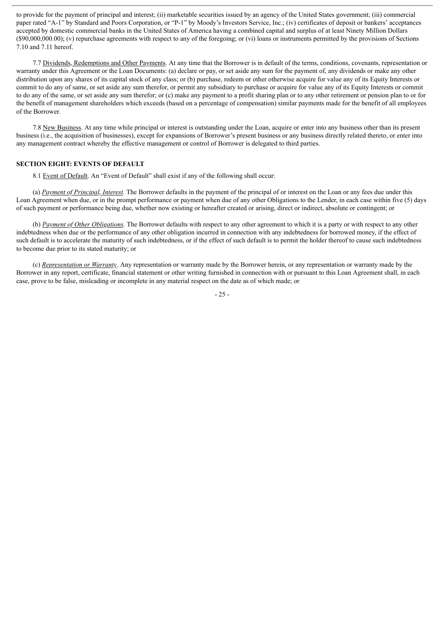to provide for the payment of principal and interest; (ii) marketable securities issued by an agency of the United States government; (iii) commercial paper rated "A-1" by Standard and Poors Corporation, or "P-1" by Moody's Investors Service, Inc.; (iv) certificates of deposit or bankers' acceptances accepted by domestic commercial banks in the United States of America having a combined capital and surplus of at least Ninety Million Dollars (\$90,000,000.00); (v) repurchase agreements with respect to any of the foregoing; or (vi) loans or instruments permitted by the provisions of Sections 7.10 and 7.11 hereof.

7.7 Dividends, Redemptions and Other Payments. At any time that the Borrower is in default of the terms, conditions, covenants, representation or warranty under this Agreement or the Loan Documents: (a) declare or pay, or set aside any sum for the payment of, any dividends or make any other distribution upon any shares of its capital stock of any class; or (b) purchase, redeem or other otherwise acquire for value any of its Equity Interests or commit to do any of same, or set aside any sum therefor, or permit any subsidiary to purchase or acquire for value any of its Equity Interests or commit to do any of the same, or set aside any sum therefor; or (c) make any payment to a profit sharing plan or to any other retirement or pension plan to or for the benefit of management shareholders which exceeds (based on a percentage of compensation) similar payments made for the benefit of all employees of the Borrower.

7.8 New Business. At any time while principal or interest is outstanding under the Loan, acquire or enter into any business other than its present business (i.e., the acquisition of businesses), except for expansions of Borrower's present business or any business directly related thereto, or enter into any management contract whereby the effective management or control of Borrower is delegated to third parties.

#### **SECTION EIGHT: EVENTS OF DEFAULT**

8.1 Event of Default. An "Event of Default" shall exist if any of the following shall occur:

(a) *Payment of Principal, Interest.* The Borrower defaults in the payment of the principal of or interest on the Loan or any fees due under this Loan Agreement when due, or in the prompt performance or payment when due of any other Obligations to the Lender, in each case within five (5) days of such payment or performance being due, whether now existing or hereafter created or arising, direct or indirect, absolute or contingent; or

(b) *Payment of Other Obligations.* The Borrower defaults with respect to any other agreement to which it is a party or with respect to any other indebtedness when due or the performance of any other obligation incurred in connection with any indebtedness for borrowed money, if the effect of such default is to accelerate the maturity of such indebtedness, or if the effect of such default is to permit the holder thereof to cause such indebtedness to become due prior to its stated maturity; or

(c) *Representation or Warranty*. Any representation or warranty made by the Borrower herein, or any representation or warranty made by the Borrower in any report, certificate, financial statement or other writing furnished in connection with or pursuant to this Loan Agreement shall, in each case, prove to be false, misleading or incomplete in any material respect on the date as of which made; or

- 25 -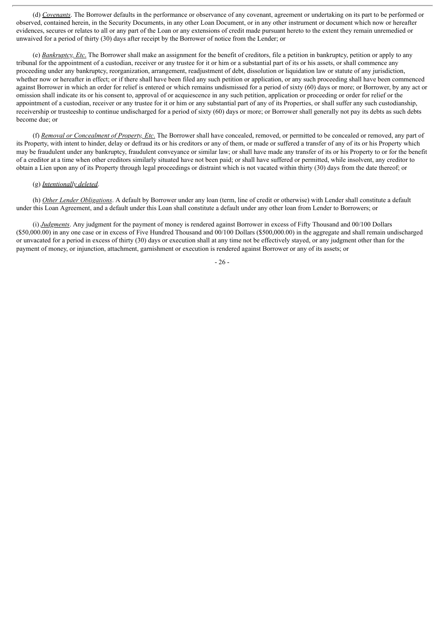(d) *Covenants*. The Borrower defaults in the performance or observance of any covenant, agreement or undertaking on its part to be performed or observed, contained herein, in the Security Documents, in any other Loan Document, or in any other instrument or document which now or hereafter evidences, secures or relates to all or any part of the Loan or any extensions of credit made pursuant hereto to the extent they remain unremedied or unwaived for a period of thirty (30) days after receipt by the Borrower of notice from the Lender; or

(e) *Bankruptcy, Etc*. The Borrower shall make an assignment for the benefit of creditors, file a petition in bankruptcy, petition or apply to any tribunal for the appointment of a custodian, receiver or any trustee for it or him or a substantial part of its or his assets, or shall commence any proceeding under any bankruptcy, reorganization, arrangement, readjustment of debt, dissolution or liquidation law or statute of any jurisdiction, whether now or hereafter in effect; or if there shall have been filed any such petition or application, or any such proceeding shall have been commenced against Borrower in which an order for relief is entered or which remains undismissed for a period of sixty (60) days or more; or Borrower, by any act or omission shall indicate its or his consent to, approval of or acquiescence in any such petition, application or proceeding or order for relief or the appointment of a custodian, receiver or any trustee for it or him or any substantial part of any of its Properties, or shall suffer any such custodianship, receivership or trusteeship to continue undischarged for a period of sixty (60) days or more; or Borrower shall generally not pay its debts as such debts become due; or

(f) *Removal or Concealment of Property, Etc*. The Borrower shall have concealed, removed, or permitted to be concealed or removed, any part of its Property, with intent to hinder, delay or defraud its or his creditors or any of them, or made or suffered a transfer of any of its or his Property which may be fraudulent under any bankruptcy, fraudulent conveyance or similar law; or shall have made any transfer of its or his Property to or for the benefit of a creditor at a time when other creditors similarly situated have not been paid; or shall have suffered or permitted, while insolvent, any creditor to obtain a Lien upon any of its Property through legal proceedings or distraint which is not vacated within thirty (30) days from the date thereof; or

#### (g) *Intentionally deleted*.

(h) *Other Lender Obligations*. A default by Borrower under any loan (term, line of credit or otherwise) with Lender shall constitute a default under this Loan Agreement, and a default under this Loan shall constitute a default under any other loan from Lender to Borrowers; or

(i) *Judgments*. Any judgment for the payment of money is rendered against Borrower in excess of Fifty Thousand and 00/100 Dollars (\$50,000.00) in any one case or in excess of Five Hundred Thousand and 00/100 Dollars (\$500,000.00) in the aggregate and shall remain undischarged or unvacated for a period in excess of thirty (30) days or execution shall at any time not be effectively stayed, or any judgment other than for the payment of money, or injunction, attachment, garnishment or execution is rendered against Borrower or any of its assets; or

- 26 -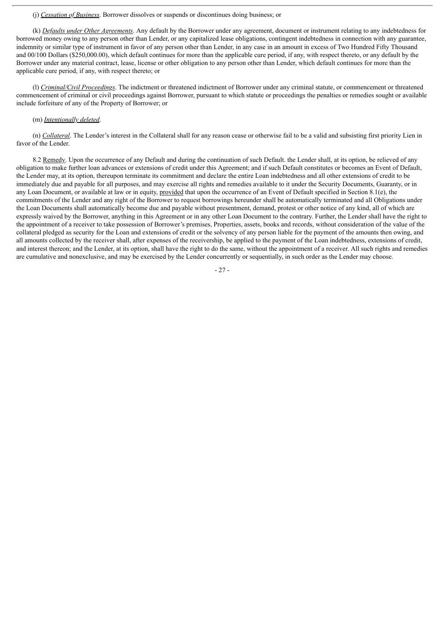#### (j) *Cessation of Business*. Borrower dissolves or suspends or discontinues doing business; or

(k) *Defaults under Other Agreements*. Any default by the Borrower under any agreement, document or instrument relating to any indebtedness for borrowed money owing to any person other than Lender, or any capitalized lease obligations, contingent indebtedness in connection with any guarantee, indemnity or similar type of instrument in favor of any person other than Lender, in any case in an amount in excess of Two Hundred Fifty Thousand and 00/100 Dollars (\$250,000.00), which default continues for more than the applicable cure period, if any, with respect thereto, or any default by the Borrower under any material contract, lease, license or other obligation to any person other than Lender, which default continues for more than the applicable cure period, if any, with respect thereto; or

(l) *Criminal/Civil Proceedings*. The indictment or threatened indictment of Borrower under any criminal statute, or commencement or threatened commencement of criminal or civil proceedings against Borrower, pursuant to which statute or proceedings the penalties or remedies sought or available include forfeiture of any of the Property of Borrower; or

#### (m) *Intentionally deleted*.

(n) *Collateral*. The Lender's interest in the Collateral shall for any reason cease or otherwise fail to be a valid and subsisting first priority Lien in favor of the Lender.

8.2 Remedy. Upon the occurrence of any Default and during the continuation of such Default. the Lender shall, at its option, be relieved of any obligation to make further loan advances or extensions of credit under this Agreement; and if such Default constitutes or becomes an Event of Default, the Lender may, at its option, thereupon terminate its commitment and declare the entire Loan indebtedness and all other extensions of credit to be immediately due and payable for all purposes, and may exercise all rights and remedies available to it under the Security Documents, Guaranty, or in any Loan Document, or available at law or in equity, provided that upon the occurrence of an Event of Default specified in Section 8.1(e), the commitments of the Lender and any right of the Borrower to request borrowings hereunder shall be automatically terminated and all Obligations under the Loan Documents shall automatically become due and payable without presentment, demand, protest or other notice of any kind, all of which are expressly waived by the Borrower, anything in this Agreement or in any other Loan Document to the contrary. Further, the Lender shall have the right to the appointment of a receiver to take possession of Borrower's premises, Properties, assets, books and records, without consideration of the value of the collateral pledged as security for the Loan and extensions of credit or the solvency of any person liable for the payment of the amounts then owing, and all amounts collected by the receiver shall, after expenses of the receivership, be applied to the payment of the Loan indebtedness, extensions of credit, and interest thereon; and the Lender, at its option, shall have the right to do the same, without the appointment of a receiver. All such rights and remedies are cumulative and nonexclusive, and may be exercised by the Lender concurrently or sequentially, in such order as the Lender may choose.

- 27 -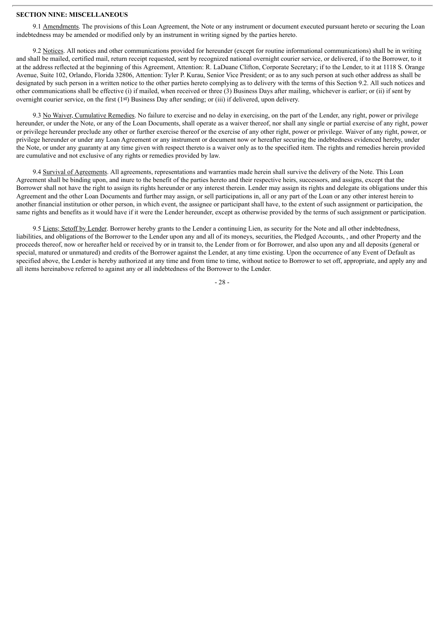#### **SECTION NINE: MISCELLANEOUS**

9.1 Amendments. The provisions of this Loan Agreement, the Note or any instrument or document executed pursuant hereto or securing the Loan indebtedness may be amended or modified only by an instrument in writing signed by the parties hereto.

9.2 Notices. All notices and other communications provided for hereunder (except for routine informational communications) shall be in writing and shall be mailed, certified mail, return receipt requested, sent by recognized national overnight courier service, or delivered, if to the Borrower, to it at the address reflected at the beginning of this Agreement, Attention: R. LaDuane Clifton, Corporate Secretary; if to the Lender, to it at 1118 S. Orange Avenue, Suite 102, Orlando, Florida 32806, Attention: Tyler P. Kurau, Senior Vice President; or as to any such person at such other address as shall be designated by such person in a written notice to the other parties hereto complying as to delivery with the terms of this Section 9.2. All such notices and other communications shall be effective (i) if mailed, when received or three (3) Business Days after mailing, whichever is earlier; or (ii) if sent by overnight courier service, on the first (1st) Business Day after sending; or (iii) if delivered, upon delivery.

9.3 No Waiver, Cumulative Remedies. No failure to exercise and no delay in exercising, on the part of the Lender, any right, power or privilege hereunder, or under the Note, or any of the Loan Documents, shall operate as a waiver thereof, nor shall any single or partial exercise of any right, power or privilege hereunder preclude any other or further exercise thereof or the exercise of any other right, power or privilege. Waiver of any right, power, or privilege hereunder or under any Loan Agreement or any instrument or document now or hereafter securing the indebtedness evidenced hereby, under the Note, or under any guaranty at any time given with respect thereto is a waiver only as to the specified item. The rights and remedies herein provided are cumulative and not exclusive of any rights or remedies provided by law.

9.4 Survival of Agreements. All agreements, representations and warranties made herein shall survive the delivery of the Note. This Loan Agreement shall be binding upon, and inure to the benefit of the parties hereto and their respective heirs, successors, and assigns, except that the Borrower shall not have the right to assign its rights hereunder or any interest therein. Lender may assign its rights and delegate its obligations under this Agreement and the other Loan Documents and further may assign, or sell participations in, all or any part of the Loan or any other interest herein to another financial institution or other person, in which event, the assignee or participant shall have, to the extent of such assignment or participation, the same rights and benefits as it would have if it were the Lender hereunder, except as otherwise provided by the terms of such assignment or participation.

9.5 Liens; Setoff by Lender. Borrower hereby grants to the Lender a continuing Lien, as security for the Note and all other indebtedness, liabilities, and obligations of the Borrower to the Lender upon any and all of its moneys, securities, the Pledged Accounts, , and other Property and the proceeds thereof, now or hereafter held or received by or in transit to, the Lender from or for Borrower, and also upon any and all deposits (general or special, matured or unmatured) and credits of the Borrower against the Lender, at any time existing. Upon the occurrence of any Event of Default as specified above, the Lender is hereby authorized at any time and from time to time, without notice to Borrower to set off, appropriate, and apply any and all items hereinabove referred to against any or all indebtedness of the Borrower to the Lender.

- 28 -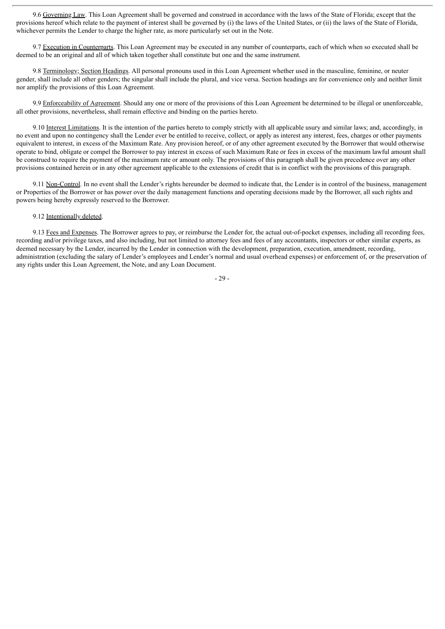9.6 Governing Law. This Loan Agreement shall be governed and construed in accordance with the laws of the State of Florida; except that the provisions hereof which relate to the payment of interest shall be governed by (i) the laws of the United States, or (ii) the laws of the State of Florida, whichever permits the Lender to charge the higher rate, as more particularly set out in the Note.

9.7 Execution in Counterparts. This Loan Agreement may be executed in any number of counterparts, each of which when so executed shall be deemed to be an original and all of which taken together shall constitute but one and the same instrument.

9.8 Terminology; Section Headings. All personal pronouns used in this Loan Agreement whether used in the masculine, feminine, or neuter gender, shall include all other genders; the singular shall include the plural, and vice versa. Section headings are for convenience only and neither limit nor amplify the provisions of this Loan Agreement.

9.9 Enforceability of Agreement. Should any one or more of the provisions of this Loan Agreement be determined to be illegal or unenforceable, all other provisions, nevertheless, shall remain effective and binding on the parties hereto.

9.10 Interest Limitations. It is the intention of the parties hereto to comply strictly with all applicable usury and similar laws; and, accordingly, in no event and upon no contingency shall the Lender ever be entitled to receive, collect, or apply as interest any interest, fees, charges or other payments equivalent to interest, in excess of the Maximum Rate. Any provision hereof, or of any other agreement executed by the Borrower that would otherwise operate to bind, obligate or compel the Borrower to pay interest in excess of such Maximum Rate or fees in excess of the maximum lawful amount shall be construed to require the payment of the maximum rate or amount only. The provisions of this paragraph shall be given precedence over any other provisions contained herein or in any other agreement applicable to the extensions of credit that is in conflict with the provisions of this paragraph.

9.11 Non-Control. In no event shall the Lender's rights hereunder be deemed to indicate that, the Lender is in control of the business, management or Properties of the Borrower or has power over the daily management functions and operating decisions made by the Borrower, all such rights and powers being hereby expressly reserved to the Borrower.

## 9.12 Intentionally deleted.

9.13 Fees and Expenses. The Borrower agrees to pay, or reimburse the Lender for, the actual out-of-pocket expenses, including all recording fees, recording and/or privilege taxes, and also including, but not limited to attorney fees and fees of any accountants, inspectors or other similar experts, as deemed necessary by the Lender, incurred by the Lender in connection with the development, preparation, execution, amendment, recording, administration (excluding the salary of Lender's employees and Lender's normal and usual overhead expenses) or enforcement of, or the preservation of any rights under this Loan Agreement, the Note, and any Loan Document.

- 29 -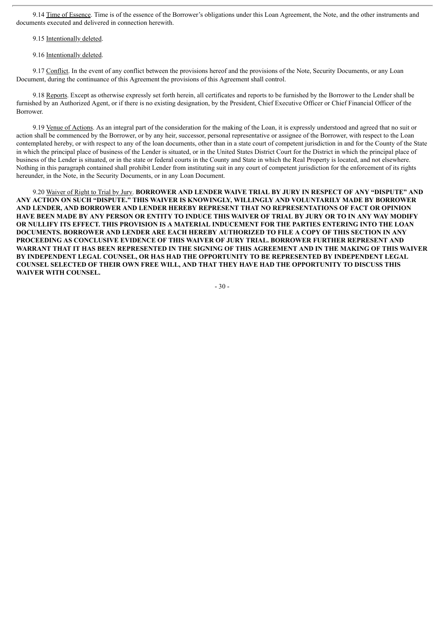9.14 Time of Essence. Time is of the essence of the Borrower's obligations under this Loan Agreement, the Note, and the other instruments and documents executed and delivered in connection herewith.

9.15 Intentionally deleted.

#### 9.16 Intentionally deleted.

9.17 Conflict. In the event of any conflict between the provisions hereof and the provisions of the Note, Security Documents, or any Loan Document, during the continuance of this Agreement the provisions of this Agreement shall control.

9.18 Reports. Except as otherwise expressly set forth herein, all certificates and reports to be furnished by the Borrower to the Lender shall be furnished by an Authorized Agent, or if there is no existing designation, by the President, Chief Executive Officer or Chief Financial Officer of the Borrower.

9.19 Venue of Actions. As an integral part of the consideration for the making of the Loan, it is expressly understood and agreed that no suit or action shall be commenced by the Borrower, or by any heir, successor, personal representative or assignee of the Borrower, with respect to the Loan contemplated hereby, or with respect to any of the loan documents, other than in a state court of competent jurisdiction in and for the County of the State in which the principal place of business of the Lender is situated, or in the United States District Court for the District in which the principal place of business of the Lender is situated, or in the state or federal courts in the County and State in which the Real Property is located, and not elsewhere. Nothing in this paragraph contained shall prohibit Lender from instituting suit in any court of competent jurisdiction for the enforcement of its rights hereunder, in the Note, in the Security Documents, or in any Loan Document.

9.20 Waiver of Right to Trial by Jury. **BORROWER AND LENDER WAIVE TRIAL BY JURY IN RESPECT OF ANY "DISPUTE" AND ANY ACTION ON SUCH "DISPUTE." THIS WAIVER IS KNOWINGLY, WILLINGLY AND VOLUNTARILY MADE BY BORROWER AND LENDER, AND BORROWER AND LENDER HEREBY REPRESENT THAT NO REPRESENTATIONS OF FACT OR OPINION** HAVE BEEN MADE BY ANY PERSON OR ENTITY TO INDUCE THIS WAIVER OF TRIAL BY JURY OR TO IN ANY WAY MODIFY **OR NULLIFY ITS EFFECT. THIS PROVISION IS A MATERIAL INDUCEMENT FOR THE PARTIES ENTERING INTO THE LOAN DOCUMENTS. BORROWER AND LENDER ARE EACH HEREBY AUTHORIZED TO FILE A COPY OF THIS SECTION IN ANY PROCEEDING AS CONCLUSIVE EVIDENCE OF THIS WAIVER OF JURY TRIAL. BORROWER FURTHER REPRESENT AND** WARRANT THAT IT HAS BEEN REPRESENTED IN THE SIGNING OF THIS AGREEMENT AND IN THE MAKING OF THIS WAIVER **BY INDEPENDENT LEGAL COUNSEL, OR HAS HAD THE OPPORTUNITY TO BE REPRESENTED BY INDEPENDENT LEGAL COUNSEL SELECTED OF THEIR OWN FREE WILL, AND THAT THEY HAVE HAD THE OPPORTUNITY TO DISCUSS THIS WAIVER WITH COUNSEL.**

 $-30-$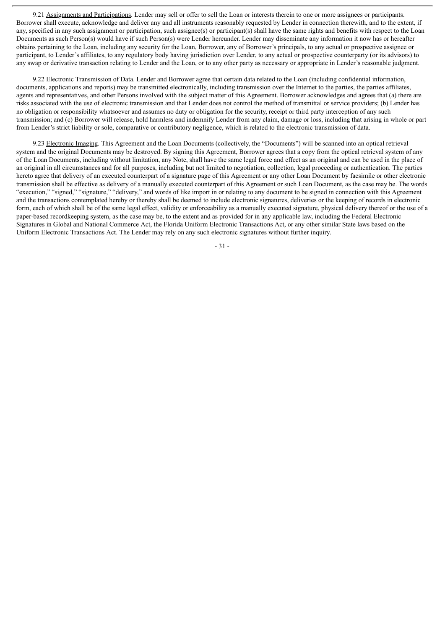9.21 Assignments and Participations. Lender may sell or offer to sell the Loan or interests therein to one or more assignees or participants. Borrower shall execute, acknowledge and deliver any and all instruments reasonably requested by Lender in connection therewith, and to the extent, if any, specified in any such assignment or participation, such assignee(s) or participant(s) shall have the same rights and benefits with respect to the Loan Documents as such Person(s) would have if such Person(s) were Lender hereunder. Lender may disseminate any information it now has or hereafter obtains pertaining to the Loan, including any security for the Loan, Borrower, any of Borrower's principals, to any actual or prospective assignee or participant, to Lender's affiliates, to any regulatory body having jurisdiction over Lender, to any actual or prospective counterparty (or its advisors) to any swap or derivative transaction relating to Lender and the Loan, or to any other party as necessary or appropriate in Lender's reasonable judgment.

9.22 Electronic Transmission of Data. Lender and Borrower agree that certain data related to the Loan (including confidential information, documents, applications and reports) may be transmitted electronically, including transmission over the Internet to the parties, the parties affiliates, agents and representatives, and other Persons involved with the subject matter of this Agreement. Borrower acknowledges and agrees that (a) there are risks associated with the use of electronic transmission and that Lender does not control the method of transmittal or service providers; (b) Lender has no obligation or responsibility whatsoever and assumes no duty or obligation for the security, receipt or third party interception of any such transmission; and (c) Borrower will release, hold harmless and indemnify Lender from any claim, damage or loss, including that arising in whole or part from Lender's strict liability or sole, comparative or contributory negligence, which is related to the electronic transmission of data.

9.23 Electronic Imaging. This Agreement and the Loan Documents (collectively, the "Documents") will be scanned into an optical retrieval system and the original Documents may be destroyed. By signing this Agreement, Borrower agrees that a copy from the optical retrieval system of any of the Loan Documents, including without limitation, any Note, shall have the same legal force and effect as an original and can be used in the place of an original in all circumstances and for all purposes, including but not limited to negotiation, collection, legal proceeding or authentication. The parties hereto agree that delivery of an executed counterpart of a signature page of this Agreement or any other Loan Document by facsimile or other electronic transmission shall be effective as delivery of a manually executed counterpart of this Agreement or such Loan Document, as the case may be. The words "execution," "signed," "signature," "delivery," and words of like import in or relating to any document to be signed in connection with this Agreement and the transactions contemplated hereby or thereby shall be deemed to include electronic signatures, deliveries or the keeping of records in electronic form, each of which shall be of the same legal effect, validity or enforceability as a manually executed signature, physical delivery thereof or the use of a paper-based recordkeeping system, as the case may be, to the extent and as provided for in any applicable law, including the Federal Electronic Signatures in Global and National Commerce Act, the Florida Uniform Electronic Transactions Act, or any other similar State laws based on the Uniform Electronic Transactions Act. The Lender may rely on any such electronic signatures without further inquiry.

- 31 -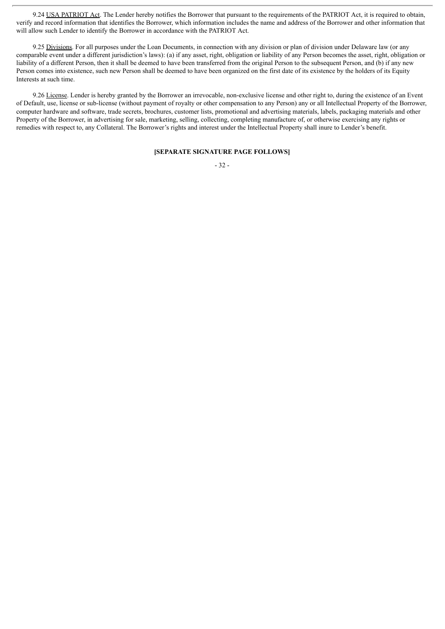9.24 USA PATRIOT Act. The Lender hereby notifies the Borrower that pursuant to the requirements of the PATRIOT Act, it is required to obtain, verify and record information that identifies the Borrower, which information includes the name and address of the Borrower and other information that will allow such Lender to identify the Borrower in accordance with the PATRIOT Act.

9.25 Divisions. For all purposes under the Loan Documents, in connection with any division or plan of division under Delaware law (or any comparable event under a different jurisdiction's laws): (a) if any asset, right, obligation or liability of any Person becomes the asset, right, obligation or liability of a different Person, then it shall be deemed to have been transferred from the original Person to the subsequent Person, and (b) if any new Person comes into existence, such new Person shall be deemed to have been organized on the first date of its existence by the holders of its Equity Interests at such time.

9.26 License. Lender is hereby granted by the Borrower an irrevocable, non-exclusive license and other right to, during the existence of an Event of Default, use, license or sub-license (without payment of royalty or other compensation to any Person) any or all Intellectual Property of the Borrower, computer hardware and software, trade secrets, brochures, customer lists, promotional and advertising materials, labels, packaging materials and other Property of the Borrower, in advertising for sale, marketing, selling, collecting, completing manufacture of, or otherwise exercising any rights or remedies with respect to, any Collateral. The Borrower's rights and interest under the Intellectual Property shall inure to Lender's benefit.

#### **[SEPARATE SIGNATURE PAGE FOLLOWS]**

#### - 32 -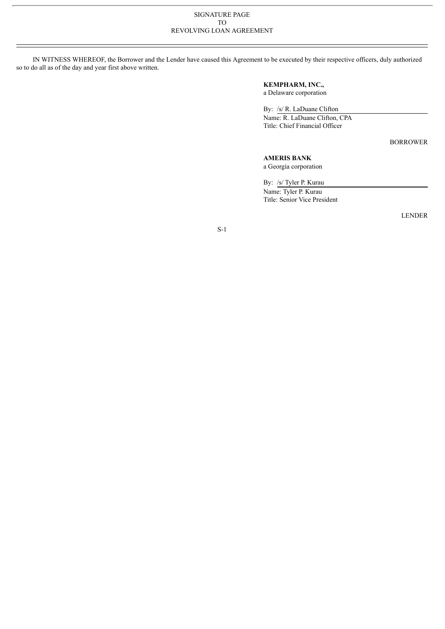#### SIGNATURE PAGE TO REVOLVING LOAN AGREEMENT

IN WITNESS WHEREOF, the Borrower and the Lender have caused this Agreement to be executed by their respective officers, duly authorized so to do all as of the day and year first above written.

## **KEMPHARM, INC.,**

a Delaware corporation

By: /s/ R. LaDuane Clifton

Name: R. LaDuane Clifton, CPA Title: Chief Financial Officer

BORROWER

## **AMERIS BANK**

a Georgia corporation

By: /s/ Tyler P. Kurau Name: Tyler P. Kurau Title: Senior Vice President

LENDER

S-1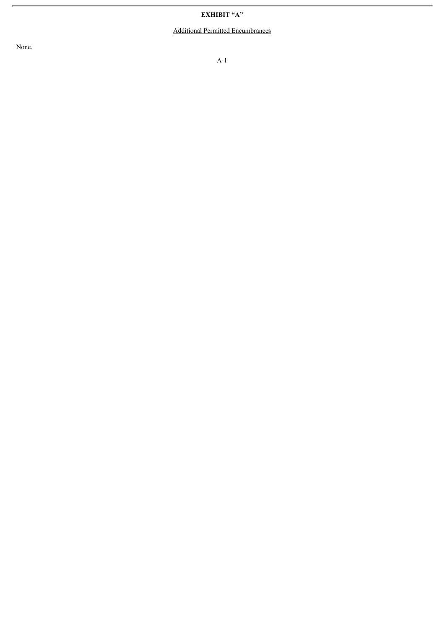## **EXHIBIT "A"**

## Additional Permitted Encumbrances

None.